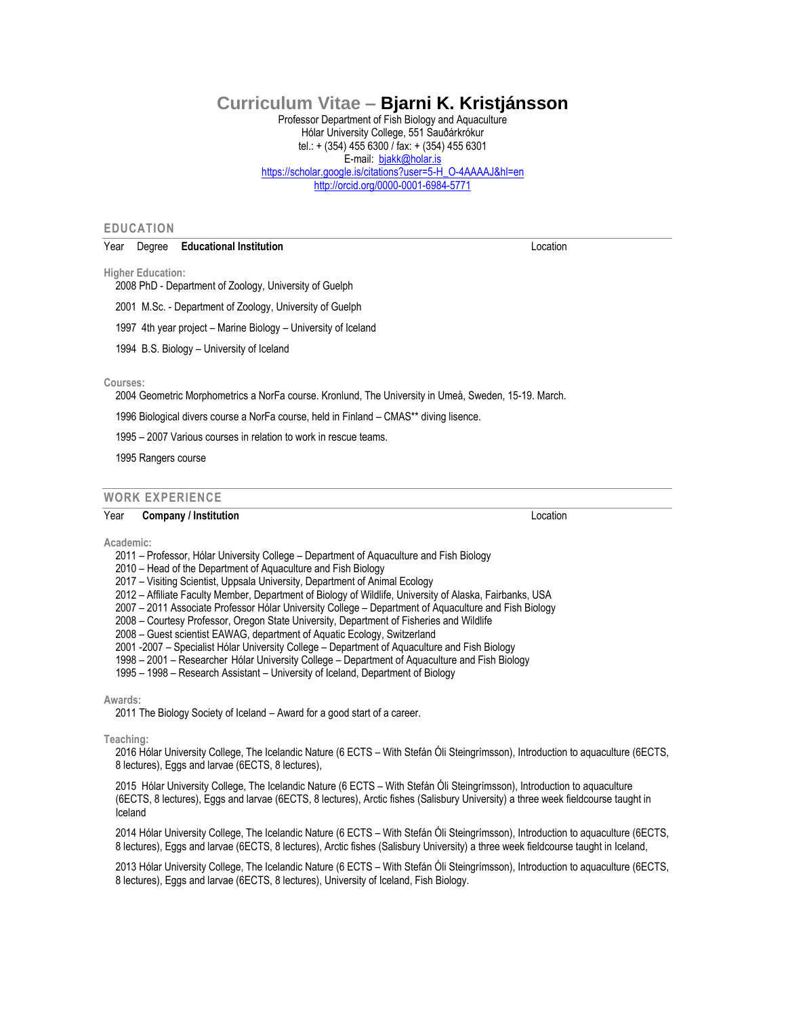# **Curriculum Vitae – Bjarni K. Kristjánsson**

Professor Department of Fish Biology and Aquaculture Hólar University College, 551 Sauðárkrókur tel.: + (354) 455 6300 / fax: + (354) 455 6301 E-mail: [bjakk@holar.is](mailto:bjakk@holar.is) [https://scholar.google.is/citations?user=5-H\\_O-4AAAAJ&hl=en](https://scholar.google.is/citations?user=5-H_O-4AAAAJ&hl=en) <http://orcid.org/0000-0001-6984-5771>

# **EDUCATION**

#### Year Degree **Educational Institution** Location

**Higher Education:**

2008 PhD - Department of Zoology, University of Guelph

- 2001 M.Sc. Department of Zoology, University of Guelph
- 1997 4th year project Marine Biology University of Iceland
- 1994 B.S. Biology University of Iceland

#### **Courses:**

2004 Geometric Morphometrics a NorFa course. Kronlund, The University in Umeå, Sweden, 15-19. March.

1996 Biological divers course a NorFa course, held in Finland – CMAS\*\* diving lisence.

1995 – 2007 Various courses in relation to work in rescue teams.

1995 Rangers course

# **WORK EXPERIENCE**

### Year **Company / Institution** Location

**Academic:**

2011 – Professor, Hólar University College – Department of Aquaculture and Fish Biology

- 2010 Head of the Department of Aquaculture and Fish Biology
- 2017 Visiting Scientist, Uppsala University, Department of Animal Ecology

2012 – Affiliate Faculty Member, Department of Biology of Wildlife, University of Alaska, Fairbanks, USA

- 2007 2011 Associate Professor Hólar University College Department of Aquaculture and Fish Biology
- 2008 Courtesy Professor, Oregon State University, Department of Fisheries and Wildlife

2008 – Guest scientist EAWAG, department of Aquatic Ecology, Switzerland

2001 -2007 – Specialist Hólar University College – Department of Aquaculture and Fish Biology

- 1998 2001 Researcher Hólar University College Department of Aquaculture and Fish Biology
- 1995 1998 Research Assistant University of Iceland, Department of Biology

### **Awards:**

2011 The Biology Society of Iceland – Award for a good start of a career.

**Teaching:**

2016 Hólar University College, The Icelandic Nature (6 ECTS – With Stefán Óli Steingrímsson), Introduction to aquaculture (6ECTS, 8 lectures), Eggs and larvae (6ECTS, 8 lectures),

2015 Hólar University College, The Icelandic Nature (6 ECTS – With Stefán Óli Steingrímsson), Introduction to aquaculture (6ECTS, 8 lectures), Eggs and larvae (6ECTS, 8 lectures), Arctic fishes (Salisbury University) a three week fieldcourse taught in Iceland

2014 Hólar University College, The Icelandic Nature (6 ECTS – With Stefán Óli Steingrímsson), Introduction to aquaculture (6ECTS, 8 lectures), Eggs and larvae (6ECTS, 8 lectures), Arctic fishes (Salisbury University) a three week fieldcourse taught in Iceland,

2013 Hólar University College, The Icelandic Nature (6 ECTS – With Stefán Óli Steingrímsson), Introduction to aquaculture (6ECTS, 8 lectures), Eggs and larvae (6ECTS, 8 lectures), University of Iceland, Fish Biology.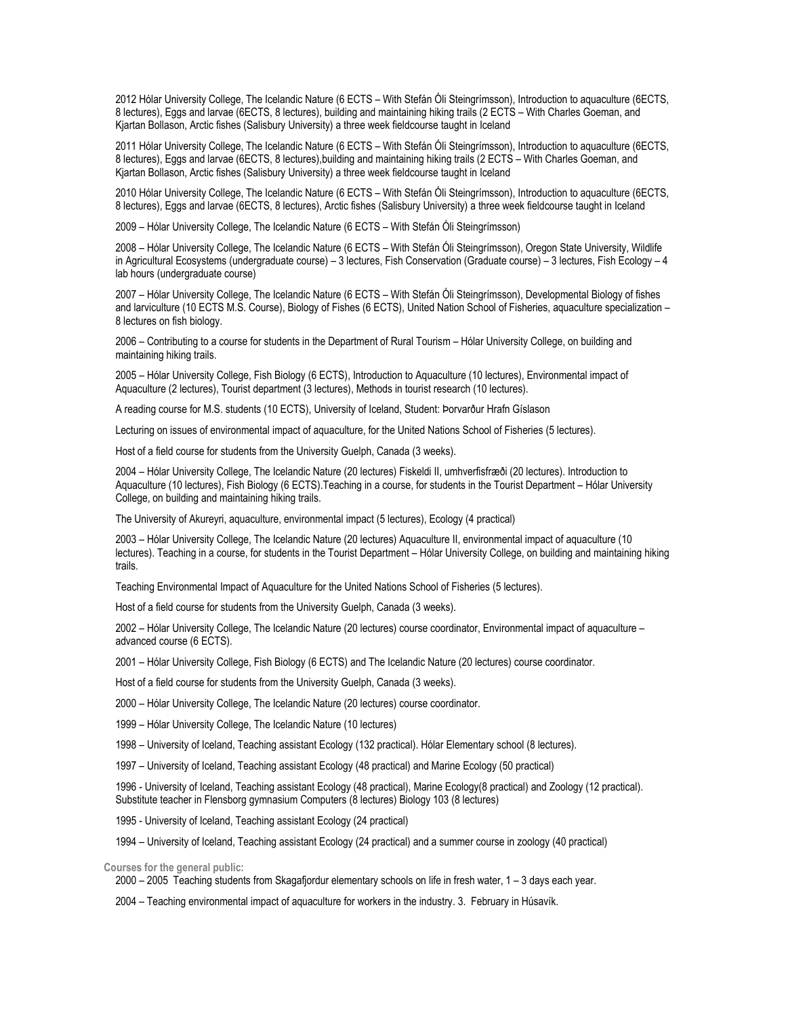2012 Hólar University College, The Icelandic Nature (6 ECTS – With Stefán Óli Steingrímsson), Introduction to aquaculture (6ECTS, 8 lectures), Eggs and larvae (6ECTS, 8 lectures), building and maintaining hiking trails (2 ECTS – With Charles Goeman, and Kjartan Bollason, Arctic fishes (Salisbury University) a three week fieldcourse taught in Iceland

2011 Hólar University College, The Icelandic Nature (6 ECTS – With Stefán Óli Steingrímsson), Introduction to aquaculture (6ECTS, 8 lectures), Eggs and larvae (6ECTS, 8 lectures),building and maintaining hiking trails (2 ECTS – With Charles Goeman, and Kjartan Bollason, Arctic fishes (Salisbury University) a three week fieldcourse taught in Iceland

2010 Hólar University College, The Icelandic Nature (6 ECTS – With Stefán Óli Steingrímsson), Introduction to aquaculture (6ECTS, 8 lectures), Eggs and larvae (6ECTS, 8 lectures), Arctic fishes (Salisbury University) a three week fieldcourse taught in Iceland

2009 – Hólar University College, The Icelandic Nature (6 ECTS – With Stefán Óli Steingrímsson)

2008 – Hólar University College, The Icelandic Nature (6 ECTS – With Stefán Óli Steingrímsson), Oregon State University, Wildlife in Agricultural Ecosystems (undergraduate course) – 3 lectures, Fish Conservation (Graduate course) – 3 lectures, Fish Ecology – 4 lab hours (undergraduate course)

2007 – Hólar University College, The Icelandic Nature (6 ECTS – With Stefán Óli Steingrímsson), Developmental Biology of fishes and larviculture (10 ECTS M.S. Course), Biology of Fishes (6 ECTS), United Nation School of Fisheries, aquaculture specialization – 8 lectures on fish biology.

2006 – Contributing to a course for students in the Department of Rural Tourism – Hólar University College, on building and maintaining hiking trails.

2005 – Hólar University College, Fish Biology (6 ECTS), Introduction to Aquaculture (10 lectures), Environmental impact of Aquaculture (2 lectures), Tourist department (3 lectures), Methods in tourist research (10 lectures).

A reading course for M.S. students (10 ECTS), University of Iceland, Student: Þorvarður Hrafn Gíslason

Lecturing on issues of environmental impact of aquaculture, for the United Nations School of Fisheries (5 lectures).

Host of a field course for students from the University Guelph, Canada (3 weeks).

2004 – Hólar University College, The Icelandic Nature (20 lectures) Fiskeldi II, umhverfisfræði (20 lectures). Introduction to Aquaculture (10 lectures), Fish Biology (6 ECTS).Teaching in a course, for students in the Tourist Department – Hólar University College, on building and maintaining hiking trails.

The University of Akureyri, aquaculture, environmental impact (5 lectures), Ecology (4 practical)

2003 – Hólar University College, The Icelandic Nature (20 lectures) Aquaculture II, environmental impact of aquaculture (10 lectures). Teaching in a course, for students in the Tourist Department – Hólar University College, on building and maintaining hiking trails.

Teaching Environmental Impact of Aquaculture for the United Nations School of Fisheries (5 lectures).

Host of a field course for students from the University Guelph, Canada (3 weeks).

2002 – Hólar University College, The Icelandic Nature (20 lectures) course coordinator, Environmental impact of aquaculture – advanced course (6 ECTS).

2001 – Hólar University College, Fish Biology (6 ECTS) and The Icelandic Nature (20 lectures) course coordinator.

Host of a field course for students from the University Guelph, Canada (3 weeks).

2000 – Hólar University College, The Icelandic Nature (20 lectures) course coordinator.

1999 – Hólar University College, The Icelandic Nature (10 lectures)

1998 – University of Iceland, Teaching assistant Ecology (132 practical). Hólar Elementary school (8 lectures).

1997 – University of Iceland, Teaching assistant Ecology (48 practical) and Marine Ecology (50 practical)

1996 - University of Iceland, Teaching assistant Ecology (48 practical), Marine Ecology(8 practical) and Zoology (12 practical). Substitute teacher in Flensborg gymnasium Computers (8 lectures) Biology 103 (8 lectures)

1995 - University of Iceland, Teaching assistant Ecology (24 practical)

1994 – University of Iceland, Teaching assistant Ecology (24 practical) and a summer course in zoology (40 practical)

**Courses for the general public:**

2000 – 2005 Teaching students from Skagafjordur elementary schools on life in fresh water, 1 – 3 days each year.

2004 – Teaching environmental impact of aquaculture for workers in the industry. 3. February in Húsavík.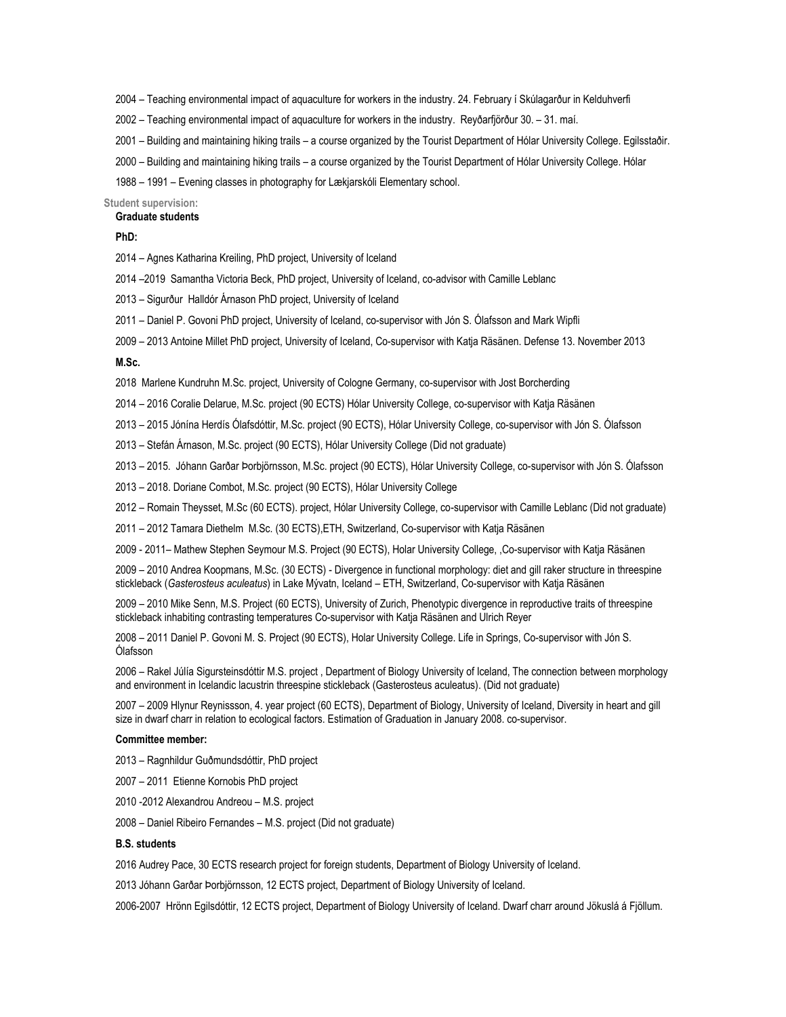– Teaching environmental impact of aquaculture for workers in the industry. 24. February í Skúlagarður in Kelduhverfi

- Teaching environmental impact of aquaculture for workers in the industry. Reyðarfjörður 30. 31. maí.
- Building and maintaining hiking trails a course organized by the Tourist Department of Hólar University College. Egilsstaðir.
- Building and maintaining hiking trails a course organized by the Tourist Department of Hólar University College. Hólar
- 1991 Evening classes in photography for Lækjarskóli Elementary school.

# **Student supervision:**

# **Graduate students**

# **PhD:**

- Agnes Katharina Kreiling, PhD project, University of Iceland
- –2019 Samantha Victoria Beck, PhD project, University of Iceland, co-advisor with Camille Leblanc
- Sigurður Halldór Árnason PhD project, University of Iceland
- Daniel P. Govoni PhD project, University of Iceland, co-supervisor with Jón S. Ólafsson and Mark Wipfli
- 2013 Antoine Millet PhD project, University of Iceland, Co-supervisor with Katja Räsänen. Defense 13. November 2013

### **M.Sc.**

2018 Marlene Kundruhn M.Sc. project, University of Cologne Germany, co-supervisor with Jost Borcherding

- 2016 Coralie Delarue, M.Sc. project (90 ECTS) Hólar University College, co-supervisor with Katja Räsänen
- 2015 Jónína Herdís Ólafsdóttir, M.Sc. project (90 ECTS), Hólar University College, co-supervisor with Jón S. Ólafsson
- Stefán Árnason, M.Sc. project (90 ECTS), Hólar University College (Did not graduate)
- 2015. Jóhann Garðar Þorbjörnsson, M.Sc. project (90 ECTS), Hólar University College, co-supervisor with Jón S. Ólafsson
- 2018. Doriane Combot, M.Sc. project (90 ECTS), Hólar University College
- Romain Theysset, M.Sc (60 ECTS). project, Hólar University College, co-supervisor with Camille Leblanc (Did not graduate)
- 2012 Tamara Diethelm M.Sc. (30 ECTS),ETH, Switzerland, Co-supervisor with Katja Räsänen

- 2011– Mathew Stephen Seymour M.S. Project (90 ECTS), Holar University College, ,Co-supervisor with Katja Räsänen

 – 2010 Andrea Koopmans, M.Sc. (30 ECTS) - Divergence in functional morphology: diet and gill raker structure in threespine stickleback (*Gasterosteus aculeatus*) in Lake Mývatn, Iceland – ETH, Switzerland, Co-supervisor with Katja Räsänen

 – 2010 Mike Senn, M.S. Project (60 ECTS), University of Zurich, Phenotypic divergence in reproductive traits of threespine stickleback inhabiting contrasting temperatures Co-supervisor with Katja Räsänen and Ulrich Reyer

 – 2011 Daniel P. Govoni M. S. Project (90 ECTS), Holar University College. Life in Springs, Co-supervisor with Jón S. Ólafsson

 – Rakel Júlía Sigursteinsdóttir M.S. project , Department of Biology University of Iceland, The connection between morphology and environment in Icelandic lacustrin threespine stickleback (Gasterosteus aculeatus). (Did not graduate)

 – 2009 Hlynur Reynissson, 4. year project (60 ECTS), Department of Biology, University of Iceland, Diversity in heart and gill size in dwarf charr in relation to ecological factors. Estimation of Graduation in January 2008. co-supervisor.

### **Committee member:**

– Ragnhildur Guðmundsdóttir, PhD project

– 2011 Etienne Kornobis PhD project

2010 -2012 Alexandrou Andreou – M.S. project

– Daniel Ribeiro Fernandes – M.S. project (Did not graduate)

#### **B.S. students**

2016 Audrey Pace, 30 ECTS research project for foreign students, Department of Biology University of Iceland.

2013 Jóhann Garðar Þorbjörnsson, 12 ECTS project, Department of Biology University of Iceland.

2006-2007 Hrönn Egilsdóttir, 12 ECTS project, Department of Biology University of Iceland. Dwarf charr around Jökuslá á Fjöllum.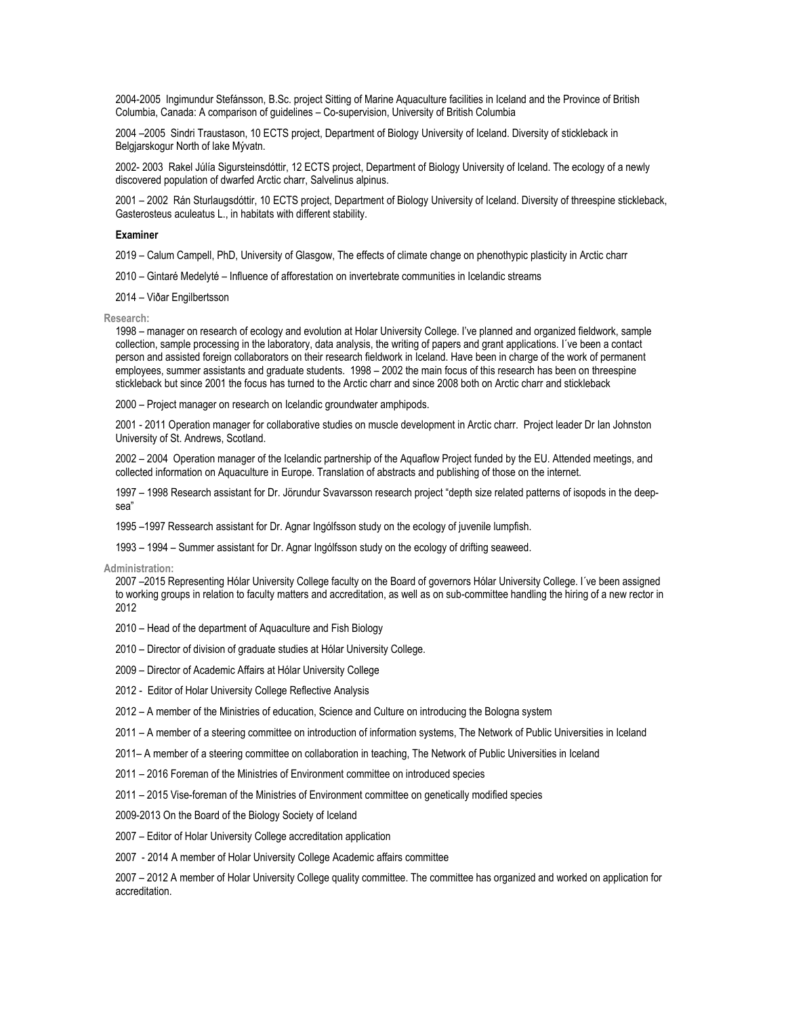2004-2005 Ingimundur Stefánsson, B.Sc. project Sitting of Marine Aquaculture facilities in Iceland and the Province of British Columbia, Canada: A comparison of guidelines – Co-supervision, University of British Columbia

2004 –2005 Sindri Traustason, 10 ECTS project, Department of Biology University of Iceland. Diversity of stickleback in Belgjarskogur North of lake Mývatn.

2002- 2003 Rakel Júlía Sigursteinsdóttir, 12 ECTS project, Department of Biology University of Iceland. The ecology of a newly discovered population of dwarfed Arctic charr, Salvelinus alpinus.

2001 – 2002 Rán Sturlaugsdóttir, 10 ECTS project, Department of Biology University of Iceland. Diversity of threespine stickleback, Gasterosteus aculeatus L., in habitats with different stability.

#### **Examiner**

2019 – Calum Campell, PhD, University of Glasgow, The effects of climate change on phenothypic plasticity in Arctic charr

2010 – Gintaré Medelyté – Influence of afforestation on invertebrate communities in Icelandic streams

2014 – Viðar Engilbertsson

**Research:**

1998 – manager on research of ecology and evolution at Holar University College. I've planned and organized fieldwork, sample collection, sample processing in the laboratory, data analysis, the writing of papers and grant applications. I´ve been a contact person and assisted foreign collaborators on their research fieldwork in Iceland. Have been in charge of the work of permanent employees, summer assistants and graduate students. 1998 – 2002 the main focus of this research has been on threespine stickleback but since 2001 the focus has turned to the Arctic charr and since 2008 both on Arctic charr and stickleback

2000 – Project manager on research on Icelandic groundwater amphipods.

2001 - 2011 Operation manager for collaborative studies on muscle development in Arctic charr. Project leader Dr Ian Johnston University of St. Andrews, Scotland.

2002 – 2004 Operation manager of the Icelandic partnership of the Aquaflow Project funded by the EU. Attended meetings, and collected information on Aquaculture in Europe. Translation of abstracts and publishing of those on the internet.

1997 – 1998 Research assistant for Dr. Jörundur Svavarsson research project "depth size related patterns of isopods in the deepsea"

1995 –1997 Ressearch assistant for Dr. Agnar Ingólfsson study on the ecology of juvenile lumpfish.

1993 – 1994 – Summer assistant for Dr. Agnar Ingólfsson study on the ecology of drifting seaweed.

**Administration:**

2007 –2015 Representing Hólar University College faculty on the Board of governors Hólar University College. I´ve been assigned to working groups in relation to faculty matters and accreditation, as well as on sub-committee handling the hiring of a new rector in 2012

- 2010 Head of the department of Aquaculture and Fish Biology
- 2010 Director of division of graduate studies at Hólar University College.
- 2009 Director of Academic Affairs at Hólar University College
- 2012 Editor of Holar University College Reflective Analysis
- 2012 A member of the Ministries of education, Science and Culture on introducing the Bologna system
- 2011 A member of a steering committee on introduction of information systems, The Network of Public Universities in Iceland
- 2011– A member of a steering committee on collaboration in teaching, The Network of Public Universities in Iceland
- 2011 2016 Foreman of the Ministries of Environment committee on introduced species
- 2011 2015 Vise-foreman of the Ministries of Environment committee on genetically modified species

2009-2013 On the Board of the Biology Society of Iceland

- 2007 Editor of Holar University College accreditation application
- 2007 2014 A member of Holar University College Academic affairs committee

2007 – 2012 A member of Holar University College quality committee. The committee has organized and worked on application for accreditation.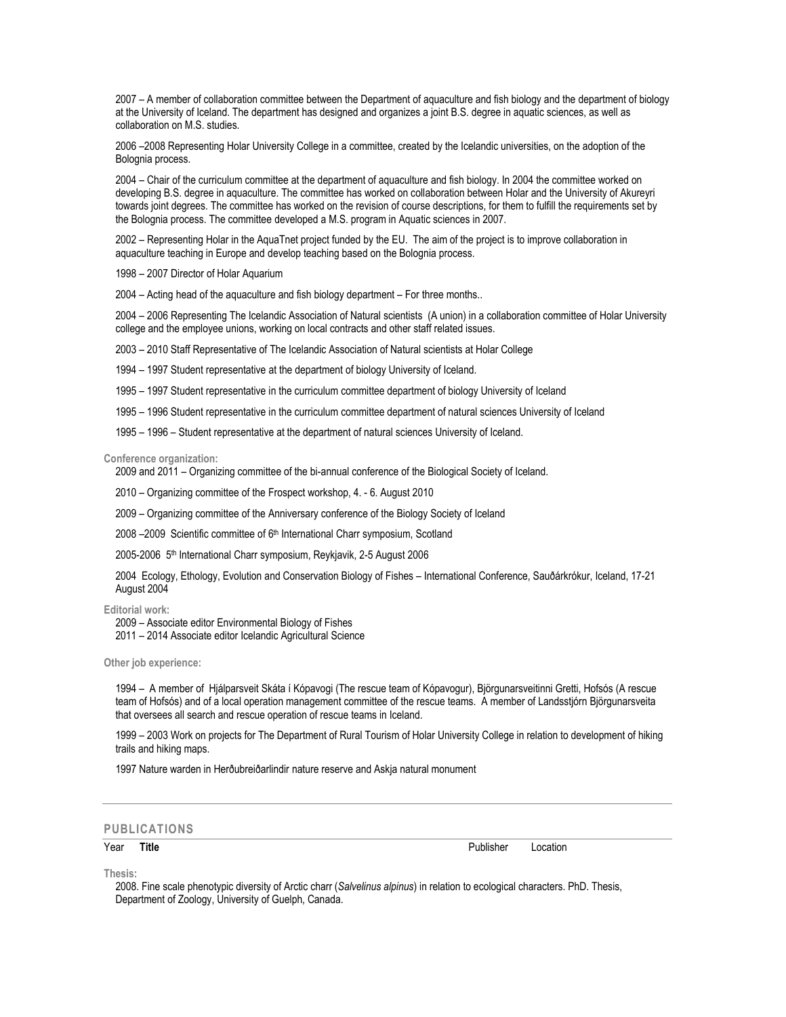2007 – A member of collaboration committee between the Department of aquaculture and fish biology and the department of biology at the University of Iceland. The department has designed and organizes a joint B.S. degree in aquatic sciences, as well as collaboration on M.S. studies.

2006 –2008 Representing Holar University College in a committee, created by the Icelandic universities, on the adoption of the Bolognia process.

2004 – Chair of the curriculum committee at the department of aquaculture and fish biology. In 2004 the committee worked on developing B.S. degree in aquaculture. The committee has worked on collaboration between Holar and the University of Akureyri towards joint degrees. The committee has worked on the revision of course descriptions, for them to fulfill the requirements set by the Bolognia process. The committee developed a M.S. program in Aquatic sciences in 2007.

2002 – Representing Holar in the AquaTnet project funded by the EU. The aim of the project is to improve collaboration in aquaculture teaching in Europe and develop teaching based on the Bolognia process.

1998 – 2007 Director of Holar Aquarium

2004 – Acting head of the aquaculture and fish biology department – For three months..

2004 – 2006 Representing The Icelandic Association of Natural scientists (A union) in a collaboration committee of Holar University college and the employee unions, working on local contracts and other staff related issues.

2003 – 2010 Staff Representative of The Icelandic Association of Natural scientists at Holar College

1994 – 1997 Student representative at the department of biology University of Iceland.

1995 – 1997 Student representative in the curriculum committee department of biology University of Iceland

1995 – 1996 Student representative in the curriculum committee department of natural sciences University of Iceland

1995 – 1996 – Student representative at the department of natural sciences University of Iceland.

**Conference organization:**

2009 and 2011 – Organizing committee of the bi-annual conference of the Biological Society of Iceland.

2010 – Organizing committee of the Frospect workshop, 4. - 6. August 2010

2009 – Organizing committee of the Anniversary conference of the Biology Society of Iceland

2008 - 2009 Scientific committee of 6<sup>th</sup> International Charr symposium, Scotland

2005-2006 5<sup>th</sup> International Charr symposium, Reykjavik, 2-5 August 2006

2004 Ecology, Ethology, Evolution and Conservation Biology of Fishes – International Conference, Sauðárkrókur, Iceland, 17-21 August 2004

**Editorial work:**

2009 – Associate editor Environmental Biology of Fishes

2011 – 2014 Associate editor Icelandic Agricultural Science

**Other job experience:**

1994 – A member of Hjálparsveit Skáta í Kópavogi (The rescue team of Kópavogur), Björgunarsveitinni Gretti, Hofsós (A rescue team of Hofsós) and of a local operation management committee of the rescue teams. A member of Landsstjórn Björgunarsveita that oversees all search and rescue operation of rescue teams in Iceland.

1999 – 2003 Work on projects for The Department of Rural Tourism of Holar University College in relation to development of hiking trails and hiking maps.

1997 Nature warden in Herðubreiðarlindir nature reserve and Askja natural monument

# **PUBLICATIONS**

Year **Title** Publisher Location

**Thesis:**

2008. Fine scale phenotypic diversity of Arctic charr (*Salvelinus alpinus*) in relation to ecological characters. PhD. Thesis, Department of Zoology, University of Guelph, Canada.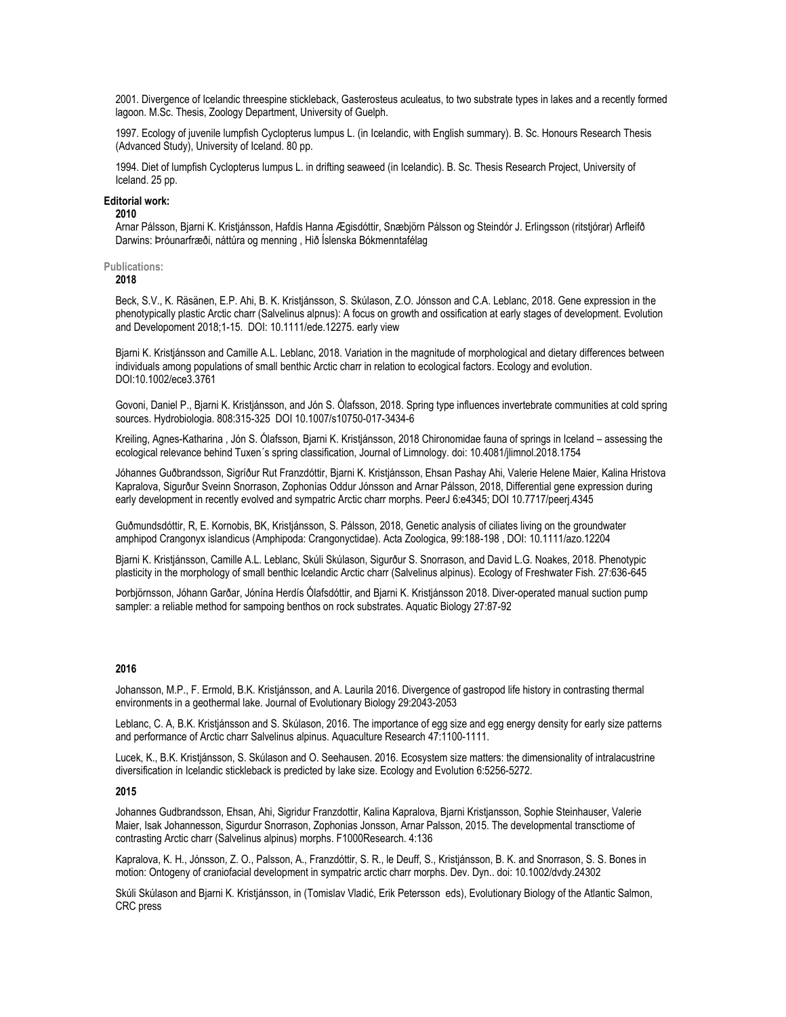2001. Divergence of Icelandic threespine stickleback, Gasterosteus aculeatus, to two substrate types in lakes and a recently formed lagoon. M.Sc. Thesis, Zoology Department, University of Guelph.

1997. Ecology of juvenile lumpfish Cyclopterus lumpus L. (in Icelandic, with English summary). B. Sc. Honours Research Thesis (Advanced Study), University of Iceland. 80 pp.

1994. Diet of lumpfish Cyclopterus lumpus L. in drifting seaweed (in Icelandic). B. Sc. Thesis Research Project, University of Iceland. 25 pp.

## **Editorial work:**

**2010**

Arnar Pálsson, Bjarni K. Kristjánsson, Hafdís Hanna Ægisdóttir, Snæbjörn Pálsson og Steindór J. Erlingsson (ritstjórar) Arfleifð Darwins: Þróunarfræði, náttúra og menning , Hið Íslenska Bókmenntafélag

# **Publications:**

# **2018**

Beck, S.V., K. Räsänen, E.P. Ahi, B. K. Kristjánsson, S. Skúlason, Z.O. Jónsson and C.A. Leblanc, 2018. Gene expression in the phenotypically plastic Arctic charr (Salvelinus alpnus): A focus on growth and ossification at early stages of development. Evolution and Developoment 2018;1-15. DOI: 10.1111/ede.12275. early view

Bjarni K. Kristjánsson and Camille A.L. Leblanc, 2018. Variation in the magnitude of morphological and dietary differences between individuals among populations of small benthic Arctic charr in relation to ecological factors. Ecology and evolution. DOI:10.1002/ece3.3761

Govoni, Daniel P., Bjarni K. Kristjánsson, and Jón S. Ólafsson, 2018. Spring type influences invertebrate communities at cold spring sources. Hydrobiologia. 808:315-325 DOI 10.1007/s10750-017-3434-6

Kreiling, Agnes-Katharina , Jón S. Ólafsson, Bjarni K. Kristjánsson, 2018 Chironomidae fauna of springs in Iceland – assessing the ecological relevance behind Tuxen´s spring classification, Journal of Limnology. doi: 10.4081/jlimnol.2018.1754

Jóhannes Guðbrandsson, Sigríður Rut Franzdóttir, Bjarni K. Kristjánsson, Ehsan Pashay Ahi, Valerie Helene Maier, Kalina Hristova Kapralova, Sigurður Sveinn Snorrason, Zophonías Oddur Jónsson and Arnar Pálsson, 2018, Differential gene expression during early development in recently evolved and sympatric Arctic charr morphs. PeerJ 6:e4345; DOI 10.7717/peerj.4345

Guðmundsdóttir, R, E. Kornobis, BK, Kristjánsson, S. Pálsson, 2018, Genetic analysis of ciliates living on the groundwater amphipod Crangonyx islandicus (Amphipoda: Crangonyctidae). Acta Zoologica, 99:188-198 , DOI: 10.1111/azo.12204

Bjarni K. Kristjánsson, Camille A.L. Leblanc, Skúli Skúlason, Sigurður S. Snorrason, and David L.G. Noakes, 2018. Phenotypic plasticity in the morphology of small benthic Icelandic Arctic charr (Salvelinus alpinus). Ecology of Freshwater Fish. 27:636-645

Þorbjörnsson, Jóhann Garðar, Jónína Herdís Ólafsdóttir, and Bjarni K. Kristjánsson 2018. Diver-operated manual suction pump sampler: a reliable method for sampoing benthos on rock substrates. Aquatic Biology 27:87-92

### **2016**

Johansson, M.P., F. Ermold, B.K. Kristjánsson, and A. Laurila 2016. Divergence of gastropod life history in contrasting thermal environments in a geothermal lake. Journal of Evolutionary Biology 29:2043-2053

Leblanc, C. A, B.K. Kristjánsson and S. Skúlason, 2016. The importance of egg size and egg energy density for early size patterns and performance of Arctic charr Salvelinus alpinus. Aquaculture Research 47:1100-1111.

Lucek, K., B.K. Kristjánsson, S. Skúlason and O. Seehausen. 2016. Ecosystem size matters: the dimensionality of intralacustrine diversification in Icelandic stickleback is predicted by lake size. Ecology and Evolution 6:5256-5272.

# **2015**

Johannes Gudbrandsson, Ehsan, Ahi, Sigridur Franzdottir, Kalina Kapralova, Bjarni Kristjansson, Sophie Steinhauser, Valerie Maier, Isak Johannesson, Sigurdur Snorrason, Zophonias Jonsson, Arnar Palsson, 2015. The developmental transctiome of contrasting Arctic charr (Salvelinus alpinus) morphs. F1000Research. 4:136

Kapralova, K. H., Jónsson, Z. O., Palsson, A., Franzdóttir, S. R., le Deuff, S., Kristjánsson, B. K. and Snorrason, S. S. Bones in motion: Ontogeny of craniofacial development in sympatric arctic charr morphs. Dev. Dyn.. doi: 10.1002/dvdy.24302

Skúli Skúlason and Bjarni K. Kristjánsson, in (Tomislav Vladić, Erik Petersson eds), Evolutionary Biology of the Atlantic Salmon, CRC press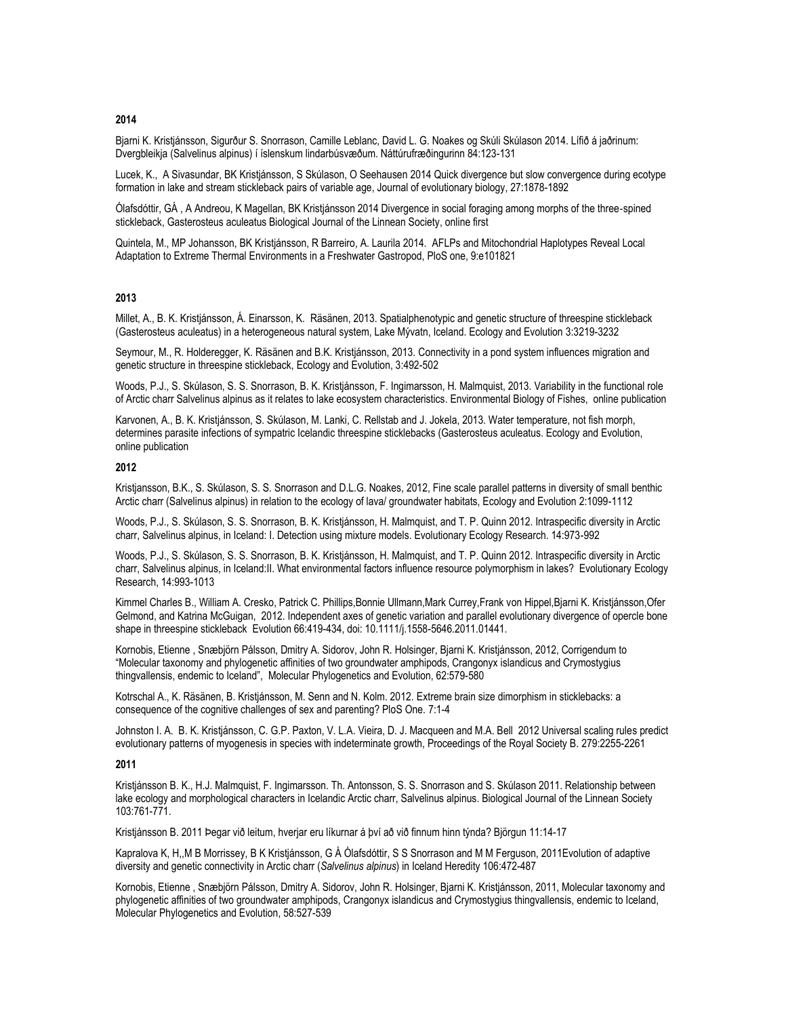# **2014**

Bjarni K. Kristjánsson, Sigurður S. Snorrason, Camille Leblanc, David L. G. Noakes og Skúli Skúlason 2014. Lífið á jaðrinum: Dvergbleikja (Salvelinus alpinus) í íslenskum lindarbúsvæðum. Náttúrufræðingurinn 84:123-131

Lucek, K., A Sivasundar, BK Kristjánsson, S Skúlason, O Seehausen 2014 Quick divergence but slow convergence during ecotype formation in lake and stream stickleback pairs of variable age, Journal of evolutionary biology, 27:1878-1892

Ólafsdóttir, GÁ , A Andreou, K Magellan, BK Kristjánsson 2014 Divergence in social foraging among morphs of the three‐spined stickleback, Gasterosteus aculeatus Biological Journal of the Linnean Society, online first

Quintela, M., MP Johansson, BK Kristjánsson, R Barreiro, A. Laurila 2014. AFLPs and Mitochondrial Haplotypes Reveal Local Adaptation to Extreme Thermal Environments in a Freshwater Gastropod, PloS one, 9:e101821

# **2013**

Millet, A., B. K. Kristjánsson, Á. Einarsson, K. Räsänen, 2013. Spatialphenotypic and genetic structure of threespine stickleback (Gasterosteus aculeatus) in a heterogeneous natural system, Lake Mývatn, Iceland. Ecology and Evolution 3:3219-3232

Seymour, M., R. Holderegger, K. Räsänen and B.K. Kristjánsson, 2013. Connectivity in a pond system influences migration and genetic structure in threespine stickleback, Ecology and Evolution, 3:492-502

Woods, P.J., S. Skúlason, S. S. Snorrason, B. K. Kristjánsson, F. Ingimarsson, H. Malmquist, 2013. Variability in the functional role of Arctic charr Salvelinus alpinus as it relates to lake ecosystem characteristics. Environmental Biology of Fishes, online publication

Karvonen, A., B. K. Kristjánsson, S. Skúlason, M. Lanki, C. Rellstab and J. Jokela, 2013. Water temperature, not fish morph, determines parasite infections of sympatric Icelandic threespine sticklebacks (Gasterosteus aculeatus. Ecology and Evolution, online publication

# **2012**

Kristjansson, B.K., S. Skúlason, S. S. Snorrason and D.L.G. Noakes, 2012, Fine scale parallel patterns in diversity of small benthic Arctic charr (Salvelinus alpinus) in relation to the ecology of lava/ groundwater habitats, Ecology and Evolution 2:1099-1112

Woods, P.J., S. Skúlason, S. S. Snorrason, B. K. Kristjánsson, H. Malmquist, and T. P. Quinn 2012. Intraspecific diversity in Arctic charr, Salvelinus alpinus, in Iceland: I. Detection using mixture models. Evolutionary Ecology Research. 14:973-992

Woods, P.J., S. Skúlason, S. S. Snorrason, B. K. Kristjánsson, H. Malmquist, and T. P. Quinn 2012. Intraspecific diversity in Arctic charr, Salvelinus alpinus, in Iceland:II. What environmental factors influence resource polymorphism in lakes? Evolutionary Ecology Research, 14:993-1013

Kimmel Charles B., William A. Cresko, Patrick C. Phillips,Bonnie Ullmann,Mark Currey,Frank von Hippel,Bjarni K. Kristjánsson,Ofer Gelmond, and Katrina McGuigan, 2012. Independent axes of genetic variation and parallel evolutionary divergence of opercle bone shape in threespine stickleback Evolution 66:419-434, doi: 10.1111/j.1558-5646.2011.01441.

Kornobis, Etienne , Snæbjörn Pálsson, Dmitry A. Sidorov, John R. Holsinger, Bjarni K. Kristjánsson, 2012, Corrigendum to "Molecular taxonomy and phylogenetic affinities of two groundwater amphipods, Crangonyx islandicus and Crymostygius thingvallensis, endemic to Iceland", Molecular Phylogenetics and Evolution, 62:579-580

Kotrschal A., K. Räsänen, B. Kristjánsson, M. Senn and N. Kolm. 2012. Extreme brain size dimorphism in sticklebacks: a consequence of the cognitive challenges of sex and parenting? PloS One. 7:1-4

Johnston I. A. B. K. Kristjánsson, C. G.P. Paxton, V. L.A. Vieira, D. J. Macqueen and M.A. Bell 2012 Universal scaling rules predict evolutionary patterns of myogenesis in species with indeterminate growth, Proceedings of the Royal Society B. 279:2255-2261

#### **2011**

Kristjánsson B. K., H.J. Malmquist, F. Ingimarsson. Th. Antonsson, S. S. Snorrason and S. Skúlason 2011. Relationship between lake ecology and morphological characters in Icelandic Arctic charr, Salvelinus alpinus. Biological Journal of the Linnean Society 103:761-771.

Kristjánsson B. 2011 Þegar við leitum, hverjar eru líkurnar á því að við finnum hinn týnda? Björgun 11:14-17

Kapralova K, H,,M B Morrissey, B K Kristjánsson, G Á Ólafsdóttir, S S Snorrason and M M Ferguson, 2011Evolution of adaptive diversity and genetic connectivity in Arctic charr (*Salvelinus alpinus*) in Iceland Heredity 106:472-487

Kornobis, Etienne , Snæbjörn Pálsson, Dmitry A. Sidorov, John R. Holsinger, Bjarni K. Kristjánsson, 2011, Molecular taxonomy and phylogenetic affinities of two groundwater amphipods, Crangonyx islandicus and Crymostygius thingvallensis, endemic to Iceland, Molecular Phylogenetics and Evolution, 58:527-539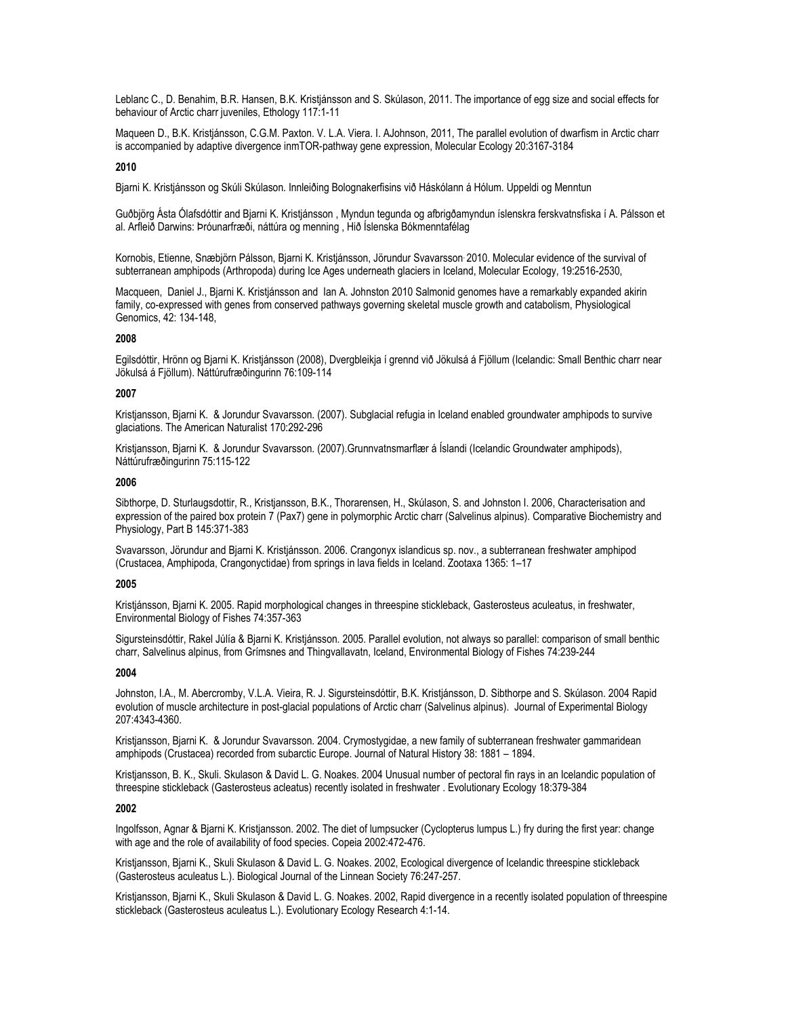Leblanc C., D. Benahim, B.R. Hansen, B.K. Kristjánsson and S. Skúlason, 2011. The importance of egg size and social effects for behaviour of Arctic charr juveniles, Ethology 117:1-11

Maqueen D., B.K. Kristjánsson, C.G.M. Paxton. V. L.A. Viera. I. AJohnson, 2011, The parallel evolution of dwarfism in Arctic charr is accompanied by adaptive divergence inmTOR-pathway gene expression, Molecular Ecology 20:3167-3184

#### **2010**

Bjarni K. Kristjánsson og Skúli Skúlason. Innleiðing Bolognakerfisins við Háskólann á Hólum. Uppeldi og Menntun

Guðbjörg Ásta Ólafsdóttir and Bjarni K. Kristjánsson , Myndun tegunda og afbrigðamyndun íslenskra ferskvatnsfiska í A. Pálsson et al. Arfleið Darwins: Þróunarfræði, náttúra og menning , Hið Íslenska Bókmenntafélag

Kornobis, Etienne, Snæbjörn Pálsson, Bjarni K. Kristjánsson, Jörundur Svavarsson. 2010. Molecular evidence of the survival of subterranean amphipods (Arthropoda) during Ice Ages underneath glaciers in Iceland, Molecular Ecology, 19:2516-2530,

Macqueen, Daniel J., Bjarni K. Kristjánsson and Ian A. Johnston 2010 Salmonid genomes have a remarkably expanded akirin family, co-expressed with genes from conserved pathways governing skeletal muscle growth and catabolism, Physiological Genomics, 42: 134-148,

# **2008**

Egilsdóttir, Hrönn og Bjarni K. Kristjánsson (2008), Dvergbleikja í grennd við Jökulsá á Fjöllum (Icelandic: Small Benthic charr near Jökulsá á Fjöllum). Náttúrufræðingurinn 76:109-114

#### **2007**

Kristjansson, Bjarni K. & Jorundur Svavarsson. (2007). Subglacial refugia in Iceland enabled groundwater amphipods to survive glaciations. The American Naturalist 170:292-296

Kristjansson, Bjarni K. & Jorundur Svavarsson. (2007).Grunnvatnsmarflær á Íslandi (Icelandic Groundwater amphipods), Náttúrufræðingurinn 75:115-122

#### **2006**

Sibthorpe, D. Sturlaugsdottir, R., Kristjansson, B.K., Thorarensen, H., Skúlason, S. and Johnston I. 2006, Characterisation and expression of the paired box protein 7 (Pax7) gene in polymorphic Arctic charr (Salvelinus alpinus). Comparative Biochemistry and Physiology, Part B 145:371-383

Svavarsson, Jörundur and Bjarni K. Kristjánsson. 2006. Crangonyx islandicus sp. nov., a subterranean freshwater amphipod (Crustacea, Amphipoda, Crangonyctidae) from springs in lava fields in Iceland. Zootaxa 1365: 1–17

#### **2005**

Kristjánsson, Bjarni K. 2005. Rapid morphological changes in threespine stickleback, Gasterosteus aculeatus, in freshwater, Environmental Biology of Fishes 74:357-363

Sigursteinsdóttir, Rakel Júlía & Bjarni K. Kristjánsson. 2005. Parallel evolution, not always so parallel: comparison of small benthic charr, Salvelinus alpinus, from Grímsnes and Thingvallavatn, Iceland, Environmental Biology of Fishes 74:239-244

#### **2004**

Johnston, I.A., M. Abercromby, V.L.A. Vieira, R. J. Sigursteinsdóttir, B.K. Kristjánsson, D. Sibthorpe and S. Skúlason. 2004 Rapid evolution of muscle architecture in post-glacial populations of Arctic charr (Salvelinus alpinus). Journal of Experimental Biology 207:4343-4360.

Kristjansson, Bjarni K. & Jorundur Svavarsson. 2004. Crymostygidae, a new family of subterranean freshwater gammaridean amphipods (Crustacea) recorded from subarctic Europe. Journal of Natural History 38: 1881 – 1894.

Kristjansson, B. K., Skuli. Skulason & David L. G. Noakes. 2004 Unusual number of pectoral fin rays in an Icelandic population of threespine stickleback (Gasterosteus acleatus) recently isolated in freshwater . Evolutionary Ecology 18:379-384

#### **2002**

Ingolfsson, Agnar & Bjarni K. Kristjansson. 2002. The diet of lumpsucker (Cyclopterus lumpus L.) fry during the first year: change with age and the role of availability of food species. Copeia 2002:472-476.

Kristjansson, Bjarni K., Skuli Skulason & David L. G. Noakes. 2002, Ecological divergence of Icelandic threespine stickleback (Gasterosteus aculeatus L.). Biological Journal of the Linnean Society 76:247-257.

Kristjansson, Bjarni K., Skuli Skulason & David L. G. Noakes. 2002, Rapid divergence in a recently isolated population of threespine stickleback (Gasterosteus aculeatus L.). Evolutionary Ecology Research 4:1-14.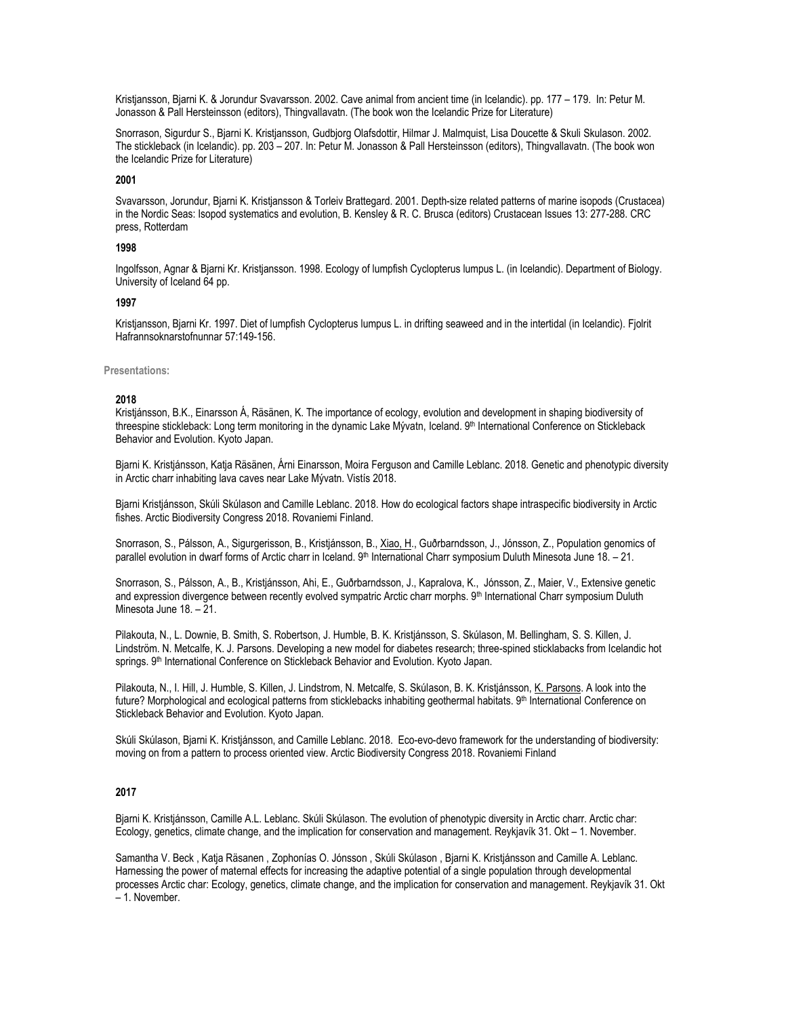Kristjansson, Bjarni K. & Jorundur Svavarsson. 2002. Cave animal from ancient time (in Icelandic). pp. 177 – 179. In: Petur M. Jonasson & Pall Hersteinsson (editors), Thingvallavatn. (The book won the Icelandic Prize for Literature)

Snorrason, Sigurdur S., Bjarni K. Kristjansson, Gudbjorg Olafsdottir, Hilmar J. Malmquist, Lisa Doucette & Skuli Skulason. 2002. The stickleback (in Icelandic). pp. 203 – 207. In: Petur M. Jonasson & Pall Hersteinsson (editors), Thingvallavatn. (The book won the Icelandic Prize for Literature)

### **2001**

Svavarsson, Jorundur, Bjarni K. Kristjansson & Torleiv Brattegard. 2001. Depth-size related patterns of marine isopods (Crustacea) in the Nordic Seas: Isopod systematics and evolution, B. Kensley & R. C. Brusca (editors) Crustacean Issues 13: 277-288. CRC press, Rotterdam

### **1998**

Ingolfsson, Agnar & Bjarni Kr. Kristjansson. 1998. Ecology of lumpfish Cyclopterus lumpus L. (in Icelandic). Department of Biology. University of Iceland 64 pp.

#### **1997**

Kristjansson, Bjarni Kr. 1997. Diet of lumpfish Cyclopterus lumpus L. in drifting seaweed and in the intertidal (in Icelandic). Fjolrit Hafrannsoknarstofnunnar 57:149-156.

# **Presentations:**

#### **2018**

Kristjánsson, B.K., Einarsson Á, Räsänen, K. The importance of ecology, evolution and development in shaping biodiversity of threespine stickleback: Long term monitoring in the dynamic Lake Mývatn, Iceland. 9<sup>th</sup> International Conference on Stickleback Behavior and Evolution. Kyoto Japan.

Bjarni K. Kristjánsson, Katja Räsänen, Árni Einarsson, Moira Ferguson and Camille Leblanc. 2018. Genetic and phenotypic diversity in Arctic charr inhabiting lava caves near Lake Mývatn. Vistís 2018.

Bjarni Kristjánsson, Skúli Skúlason and Camille Leblanc. 2018. How do ecological factors shape intraspecific biodiversity in Arctic fishes. Arctic Biodiversity Congress 2018. Rovaniemi Finland.

Snorrason, S., Pálsson, A., Sigurgerisson, B., Kristjánsson, B., Xiao, H., Guðrbarndsson, J., Jónsson, Z., Population genomics of parallel evolution in dwarf forms of Arctic charr in Iceland. 9<sup>th</sup> International Charr symposium Duluth Minesota June 18. - 21.

Snorrason, S., Pálsson, A., B., Kristjánsson, Ahi, E., Guðrbarndsson, J., Kapralova, K., Jónsson, Z., Maier, V., Extensive genetic and expression divergence between recently evolved sympatric Arctic charr morphs. 9<sup>th</sup> International Charr symposium Duluth Minesota June 18. – 21.

Pilakouta, N., L. Downie, B. Smith, S. Robertson, J. Humble, B. K. Kristjánsson, S. Skúlason, M. Bellingham, S. S. Killen, J. Lindström. N. Metcalfe, K. J. Parsons. Developing a new model for diabetes research; three-spined sticklabacks from Icelandic hot springs. 9<sup>th</sup> International Conference on Stickleback Behavior and Evolution. Kyoto Japan.

Pilakouta, N., I. Hill, J. Humble, S. Killen, J. Lindstrom, N. Metcalfe, S. Skúlason, B. K. Kristjánsson, K. Parsons. A look into the future? Morphological and ecological patterns from sticklebacks inhabiting geothermal habitats. 9<sup>th</sup> International Conference on Stickleback Behavior and Evolution. Kyoto Japan.

Skúli Skúlason, Bjarni K. Kristjánsson, and Camille Leblanc. 2018. Eco-evo-devo framework for the understanding of biodiversity: moving on from a pattern to process oriented view. Arctic Biodiversity Congress 2018. Rovaniemi Finland

# **2017**

Bjarni K. Kristjánsson, Camille A.L. Leblanc. Skúli Skúlason. The evolution of phenotypic diversity in Arctic charr. Arctic char: Ecology, genetics, climate change, and the implication for conservation and management. Reykjavík 31. Okt – 1. November.

Samantha V. Beck , Katja Räsanen , Zophonías O. Jónsson , Skúli Skúlason , Bjarni K. Kristjánsson and Camille A. Leblanc. Harnessing the power of maternal effects for increasing the adaptive potential of a single population through developmental processes Arctic char: Ecology, genetics, climate change, and the implication for conservation and management. Reykjavík 31. Okt – 1. November.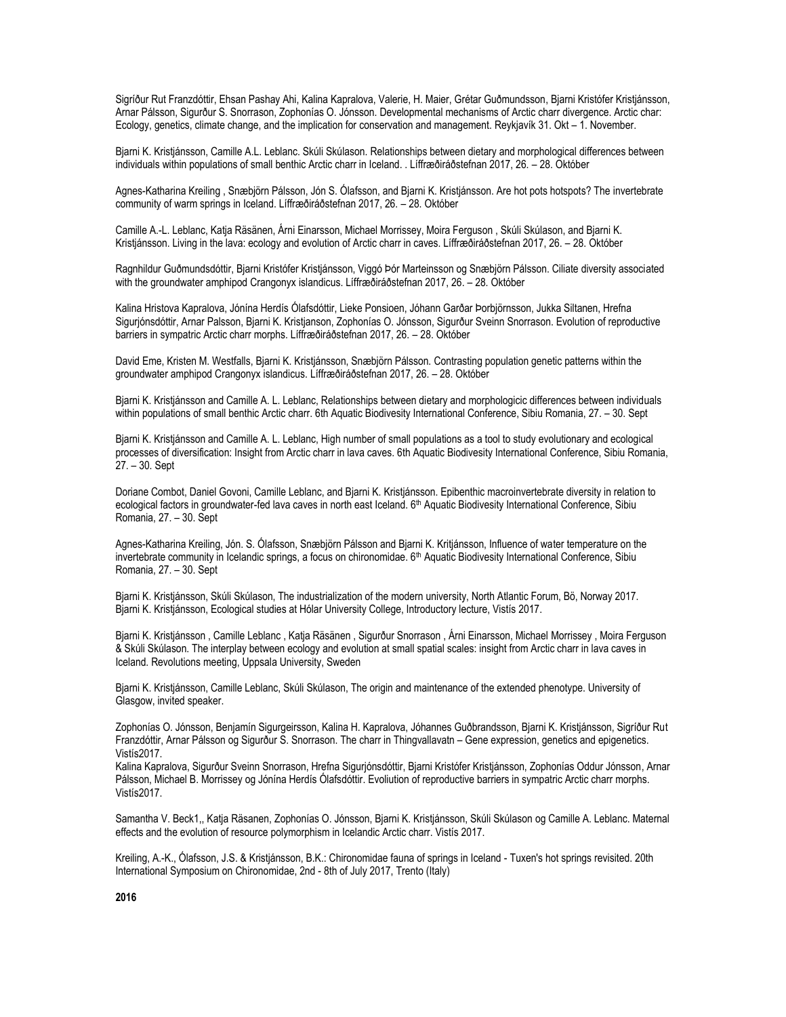Sigríður Rut Franzdóttir, Ehsan Pashay Ahi, Kalina Kapralova, Valerie, H. Maier, Grétar Guðmundsson, Bjarni Kristófer Kristjánsson, Arnar Pálsson, Sigurður S. Snorrason, Zophonías O. Jónsson. Developmental mechanisms of Arctic charr divergence. Arctic char: Ecology, genetics, climate change, and the implication for conservation and management. Reykjavík 31. Okt – 1. November.

Bjarni K. Kristjánsson, Camille A.L. Leblanc. Skúli Skúlason. Relationships between dietary and morphological differences between individuals within populations of small benthic Arctic charr in Iceland. . Líffræðiráðstefnan 2017, 26. – 28. Október

Agnes-Katharina Kreiling , Snæbjörn Pálsson, Jón S. Ólafsson, and Bjarni K. Kristjánsson. Are hot pots hotspots? The invertebrate community of warm springs in Iceland. Líffræðiráðstefnan 2017, 26. – 28. Október

Camille A.-L. Leblanc, Katja Räsänen, Árni Einarsson, Michael Morrissey, Moira Ferguson , Skúli Skúlason, and Bjarni K. Kristjánsson. Living in the lava: ecology and evolution of Arctic charr in caves. Líffræðiráðstefnan 2017, 26. – 28. Október

Ragnhildur Guðmundsdóttir, Bjarni Kristófer Kristjánsson, Viggó Þór Marteinsson og Snæbjörn Pálsson. Ciliate diversity associated with the groundwater amphipod Crangonyx islandicus. Líffræðiráðstefnan 2017, 26. – 28. Október

Kalina Hristova Kapralova, Jónína Herdís Ólafsdóttir, Lieke Ponsioen, Jóhann Garðar Þorbjörnsson, Jukka Siltanen, Hrefna Sigurjónsdóttir, Arnar Palsson, Bjarni K. Kristjanson, Zophonías O. Jónsson, Sigurður Sveinn Snorrason. Evolution of reproductive barriers in sympatric Arctic charr morphs. Líffræðiráðstefnan 2017, 26. – 28. Október

David Eme, Kristen M. Westfalls, Bjarni K. Kristjánsson, Snæbjörn Pálsson. Contrasting population genetic patterns within the groundwater amphipod Crangonyx islandicus. Líffræðiráðstefnan 2017, 26. – 28. Október

Bjarni K. Kristjánsson and Camille A. L. Leblanc, Relationships between dietary and morphologicic differences between individuals within populations of small benthic Arctic charr. 6th Aquatic Biodivesity International Conference, Sibiu Romania, 27. – 30. Sept

Bjarni K. Kristjánsson and Camille A. L. Leblanc, High number of small populations as a tool to study evolutionary and ecological processes of diversification: Insight from Arctic charr in lava caves. 6th Aquatic Biodivesity International Conference, Sibiu Romania, 27. – 30. Sept

Doriane Combot, Daniel Govoni, Camille Leblanc, and Bjarni K. Kristjánsson. Epibenthic macroinvertebrate diversity in relation to ecological factors in groundwater-fed lava caves in north east Iceland. 6<sup>th</sup> Aquatic Biodivesity International Conference, Sibiu Romania, 27. – 30. Sept

Agnes-Katharina Kreiling, Jón. S. Ólafsson, Snæbjörn Pálsson and Bjarni K. Kritjánsson, Influence of water temperature on the invertebrate community in Icelandic springs, a focus on chironomidae. 6<sup>th</sup> Aquatic Biodivesity International Conference, Sibiu Romania, 27. – 30. Sept

Bjarni K. Kristjánsson, Skúli Skúlason, The industrialization of the modern university, North Atlantic Forum, Bö, Norway 2017. Bjarni K. Kristjánsson, Ecological studies at Hólar University College, Introductory lecture, Vistís 2017.

Bjarni K. Kristjánsson , Camille Leblanc , Katja Räsänen , Sigurður Snorrason , Árni Einarsson, Michael Morrissey , Moira Ferguson & Skúli Skúlason. The interplay between ecology and evolution at small spatial scales: insight from Arctic charr in lava caves in Iceland. Revolutions meeting, Uppsala University, Sweden

Bjarni K. Kristjánsson, Camille Leblanc, Skúli Skúlason, The origin and maintenance of the extended phenotype. University of Glasgow, invited speaker.

Zophonías O. Jónsson, Benjamín Sigurgeirsson, Kalina H. Kapralova, Jóhannes Guðbrandsson, Bjarni K. Kristjánsson, Sigríður Rut Franzdóttir, Arnar Pálsson og Sigurður S. Snorrason. The charr in Thingvallavatn – Gene expression, genetics and epigenetics. Vistís2017.

Kalina Kapralova, Sigurður Sveinn Snorrason, Hrefna Sigurjónsdóttir, Bjarni Kristófer Kristjánsson, Zophonías Oddur Jónsson, Arnar Pálsson, Michael B. Morrissey og Jónína Herdís Ólafsdóttir. Evoliution of reproductive barriers in sympatric Arctic charr morphs. Vistís2017.

Samantha V. Beck1,, Katja Räsanen, Zophonías O. Jónsson, Bjarni K. Kristjánsson, Skúli Skúlason og Camille A. Leblanc. Maternal effects and the evolution of resource polymorphism in Icelandic Arctic charr. Vistís 2017.

Kreiling, A.-K., Ólafsson, J.S. & Kristjánsson, B.K.: Chironomidae fauna of springs in Iceland - Tuxen's hot springs revisited. 20th International Symposium on Chironomidae, 2nd - 8th of July 2017, Trento (Italy)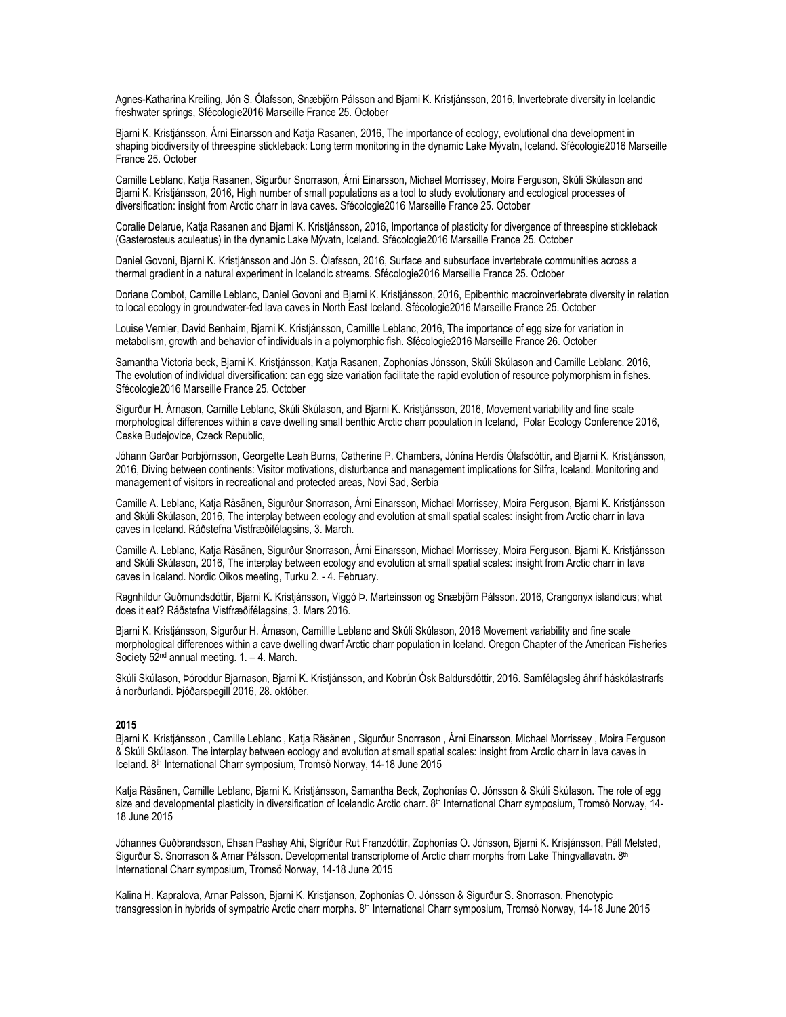Agnes-Katharina Kreiling, Jón S. Ólafsson, Snæbjörn Pálsson and Bjarni K. Kristjánsson, 2016, Invertebrate diversity in Icelandic freshwater springs, Sfécologie2016 Marseille France 25. October

Bjarni K. Kristjánsson, Árni Einarsson and Katja Rasanen, 2016, The importance of ecology, evolutional dna development in shaping biodiversity of threespine stickleback: Long term monitoring in the dynamic Lake Mývatn, Iceland. Sfécologie2016 Marseille France 25. October

Camille Leblanc, Katja Rasanen, Sigurður Snorrason, Árni Einarsson, Michael Morrissey, Moira Ferguson, Skúli Skúlason and Bjarni K. Kristjánsson, 2016, High number of small populations as a tool to study evolutionary and ecological processes of diversification: insight from Arctic charr in lava caves. Sfécologie2016 Marseille France 25. October

Coralie Delarue, Katja Rasanen and Bjarni K. Kristjánsson, 2016, Importance of plasticity for divergence of threespine stickleback (Gasterosteus aculeatus) in the dynamic Lake Mývatn, Iceland. Sfécologie2016 Marseille France 25. October

Daniel Govoni, Bjarni K. Kristjánsson and Jón S. Ólafsson, 2016, Surface and subsurface invertebrate communities across a thermal gradient in a natural experiment in Icelandic streams. Sfécologie2016 Marseille France 25. October

Doriane Combot, Camille Leblanc, Daniel Govoni and Bjarni K. Kristjánsson, 2016, Epibenthic macroinvertebrate diversity in relation to local ecology in groundwater-fed lava caves in North East Iceland. Sfécologie2016 Marseille France 25. October

Louise Vernier, David Benhaim, Bjarni K. Kristjánsson, Camillle Leblanc, 2016, The importance of egg size for variation in metabolism, growth and behavior of individuals in a polymorphic fish. Sfécologie2016 Marseille France 26. October

Samantha Victoria beck, Bjarni K. Kristjánsson, Katja Rasanen, Zophonías Jónsson, Skúli Skúlason and Camille Leblanc. 2016, The evolution of individual diversification: can egg size variation facilitate the rapid evolution of resource polymorphism in fishes. Sfécologie2016 Marseille France 25. October

Sigurður H. Árnason, Camille Leblanc, Skúli Skúlason, and Bjarni K. Kristjánsson, 2016, Movement variability and fine scale morphological differences within a cave dwelling small benthic Arctic charr population in Iceland, Polar Ecology Conference 2016, Ceske Budejovice, Czeck Republic,

Jóhann Garðar Þorbjörnsson, Georgette Leah Burns, Catherine P. Chambers, Jónína Herdís Ólafsdóttir, and Bjarni K. Kristjánsson, 2016, Diving between continents: Visitor motivations, disturbance and management implications for Silfra, Iceland. Monitoring and management of visitors in recreational and protected areas, Novi Sad, Serbia

Camille A. Leblanc, Katja Räsänen, Sigurður Snorrason, Árni Einarsson, Michael Morrissey, Moira Ferguson, Bjarni K. Kristjánsson and Skúli Skúlason, 2016, The interplay between ecology and evolution at small spatial scales: insight from Arctic charr in lava caves in Iceland. Ráðstefna Vistfræðifélagsins, 3. March.

Camille A. Leblanc, Katja Räsänen, Sigurður Snorrason, Árni Einarsson, Michael Morrissey, Moira Ferguson, Bjarni K. Kristjánsson and Skúli Skúlason, 2016, The interplay between ecology and evolution at small spatial scales: insight from Arctic charr in lava caves in Iceland. Nordic Oikos meeting, Turku 2. - 4. February.

Ragnhildur Guðmundsdóttir, Bjarni K. Kristjánsson, Viggó Þ. Marteinsson og Snæbjörn Pálsson. 2016, Crangonyx islandicus; what does it eat? Ráðstefna Vistfræðifélagsins, 3. Mars 2016.

Bjarni K. Kristjánsson, Sigurður H. Árnason, Camillle Leblanc and Skúli Skúlason, 2016 Movement variability and fine scale morphological differences within a cave dwelling dwarf Arctic charr population in Iceland. Oregon Chapter of the American Fisheries Society  $52<sup>nd</sup>$  annual meeting. 1. – 4. March.

Skúli Skúlason, Þóroddur Bjarnason, Bjarni K. Kristjánsson, and Kobrún Ósk Baldursdóttir, 2016. Samfélagsleg áhrif háskólastrarfs á norðurlandi. Þjóðarspegill 2016, 28. október.

#### **2015**

Bjarni K. Kristjánsson , Camille Leblanc , Katja Räsänen , Sigurður Snorrason , Árni Einarsson, Michael Morrissey , Moira Ferguson & Skúli Skúlason. The interplay between ecology and evolution at small spatial scales: insight from Arctic charr in lava caves in Iceland. 8th International Charr symposium, Tromsö Norway, 14-18 June 2015

Katja Räsänen, Camille Leblanc, Bjarni K. Kristjánsson, Samantha Beck, Zophonías O. Jónsson & Skúli Skúlason. The role of egg size and developmental plasticity in diversification of Icelandic Arctic charr. 8<sup>th</sup> International Charr symposium, Tromsö Norway, 14-18 June 2015

Jóhannes Guðbrandsson, Ehsan Pashay Ahi, Sigríður Rut Franzdóttir, Zophonías O. Jónsson, Bjarni K. Krisjánsson, Páll Melsted, Sigurður S. Snorrason & Arnar Pálsson. Developmental transcriptome of Arctic charr morphs from Lake Thingvallavatn. 8th International Charr symposium, Tromsö Norway, 14-18 June 2015

Kalina H. Kapralova, Arnar Palsson, Bjarni K. Kristjanson, Zophonías O. Jónsson & Sigurður S. Snorrason. Phenotypic transgression in hybrids of sympatric Arctic charr morphs. 8th International Charr symposium, Tromsö Norway, 14-18 June 2015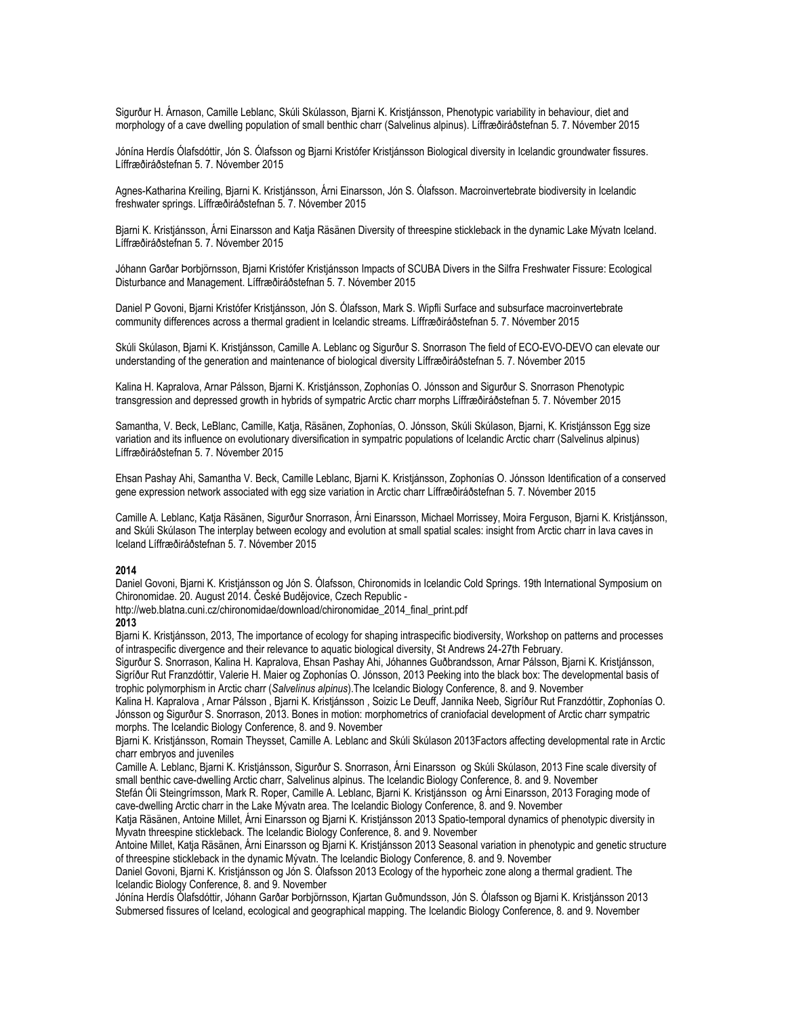Sigurður H. Árnason, Camille Leblanc, Skúli Skúlasson, Bjarni K. Kristjánsson, Phenotypic variability in behaviour, diet and morphology of a cave dwelling population of small benthic charr (Salvelinus alpinus). Líffræðiráðstefnan 5. 7. Nóvember 2015

Jónína Herdís Ólafsdóttir, Jón S. Ólafsson og Bjarni Kristófer Kristjánsson Biological diversity in Icelandic groundwater fissures. Líffræðiráðstefnan 5. 7. Nóvember 2015

Agnes-Katharina Kreiling, Bjarni K. Kristjánsson, Árni Einarsson, Jón S. Ólafsson. Macroinvertebrate biodiversity in Icelandic freshwater springs. Líffræðiráðstefnan 5. 7. Nóvember 2015

Bjarni K. Kristjánsson, Árni Einarsson and Katja Räsänen Diversity of threespine stickleback in the dynamic Lake Mývatn Iceland. Líffræðiráðstefnan 5. 7. Nóvember 2015

Jóhann Garðar Þorbjörnsson, Bjarni Kristófer Kristjánsson Impacts of SCUBA Divers in the Silfra Freshwater Fissure: Ecological Disturbance and Management. Líffræðiráðstefnan 5. 7. Nóvember 2015

Daniel P Govoni, Bjarni Kristófer Kristjánsson, Jón S. Ólafsson, Mark S. Wipfli Surface and subsurface macroinvertebrate community differences across a thermal gradient in Icelandic streams. Líffræðiráðstefnan 5. 7. Nóvember 2015

Skúli Skúlason, Bjarni K. Kristjánsson, Camille A. Leblanc og Sigurður S. Snorrason The field of ECO-EVO-DEVO can elevate our understanding of the generation and maintenance of biological diversity Líffræðiráðstefnan 5. 7. Nóvember 2015

Kalina H. Kapralova, Arnar Pálsson, Bjarni K. Kristjánsson, Zophonías O. Jónsson and Sigurður S. Snorrason Phenotypic transgression and depressed growth in hybrids of sympatric Arctic charr morphs Líffræðiráðstefnan 5. 7. Nóvember 2015

Samantha, V. Beck, LeBlanc, Camille, Katja, Räsänen, Zophonías, O. Jónsson, Skúli Skúlason, Bjarni, K. Kristjánsson Egg size variation and its influence on evolutionary diversification in sympatric populations of Icelandic Arctic charr (Salvelinus alpinus) Líffræðiráðstefnan 5. 7. Nóvember 2015

Ehsan Pashay Ahi, Samantha V. Beck, Camille Leblanc, Bjarni K. Kristjánsson, Zophonías O. Jónsson Identification of a conserved gene expression network associated with egg size variation in Arctic charr Líffræðiráðstefnan 5. 7. Nóvember 2015

Camille A. Leblanc, Katja Räsänen, Sigurður Snorrason, Árni Einarsson, Michael Morrissey, Moira Ferguson, Bjarni K. Kristjánsson, and Skúli Skúlason The interplay between ecology and evolution at small spatial scales: insight from Arctic charr in lava caves in Iceland Líffræðiráðstefnan 5. 7. Nóvember 2015

### **2014**

Daniel Govoni, Bjarni K. Kristjánsson og Jón S. Ólafsson, Chironomids in Icelandic Cold Springs. 19th International Symposium on Chironomidae. 20. August 2014. České Budějovice, Czech Republic -

http://web.blatna.cuni.cz/chironomidae/download/chironomidae\_2014\_final\_print.pdf

#### **2013**

Bjarni K. Kristjánsson, 2013, The importance of ecology for shaping intraspecific biodiversity, Workshop on patterns and processes of intraspecific divergence and their relevance to aquatic biological diversity, St Andrews 24-27th February.

Sigurður S. Snorrason, Kalina H. Kapralova, Ehsan Pashay Ahi, Jóhannes Guðbrandsson, Arnar Pálsson, Bjarni K. Kristjánsson, Sigríður Rut Franzdóttir, Valerie H. Maier og Zophonías O. Jónsson, 2013 Peeking into the black box: The developmental basis of trophic polymorphism in Arctic charr (*Salvelinus alpinus*).The Icelandic Biology Conference, 8. and 9. November

Kalina H. Kapralova , Arnar Pálsson , Bjarni K. Kristjánsson , Soizic Le Deuff, Jannika Neeb, Sigríður Rut Franzdóttir, Zophonías O. Jónsson og Sigurður S. Snorrason, 2013. Bones in motion: morphometrics of craniofacial development of Arctic charr sympatric morphs. The Icelandic Biology Conference, 8. and 9. November

Bjarni K. Kristjánsson, Romain Theysset, Camille A. Leblanc and Skúli Skúlason 2013Factors affecting developmental rate in Arctic charr embryos and juveniles

Camille A. Leblanc, Bjarni K. Kristjánsson, Sigurður S. Snorrason, Árni Einarsson og Skúli Skúlason, 2013 Fine scale diversity of small benthic cave-dwelling Arctic charr, Salvelinus alpinus. The Icelandic Biology Conference, 8. and 9. November

Stefán Óli Steingrímsson, Mark R. Roper, Camille A. Leblanc, Bjarni K. Kristjánsson og Árni Einarsson, 2013 Foraging mode of cave-dwelling Arctic charr in the Lake Mývatn area. The Icelandic Biology Conference, 8. and 9. November

Katja Räsänen, Antoine Millet, Árni Einarsson og Bjarni K. Kristjánsson 2013 Spatio-temporal dynamics of phenotypic diversity in Myvatn threespine stickleback. The Icelandic Biology Conference, 8. and 9. November

Antoine Millet, Katja Räsänen, Árni Einarsson og Bjarni K. Kristjánsson 2013 Seasonal variation in phenotypic and genetic structure of threespine stickleback in the dynamic Mývatn. The Icelandic Biology Conference, 8. and 9. November

Daniel Govoni, Bjarni K. Kristjánsson og Jón S. Ólafsson 2013 Ecology of the hyporheic zone along a thermal gradient. The Icelandic Biology Conference, 8. and 9. November

Jónína Herdís Ólafsdóttir, Jóhann Garðar Þorbjörnsson, Kjartan Guðmundsson, Jón S. Ólafsson og Bjarni K. Kristjánsson 2013 Submersed fissures of Iceland, ecological and geographical mapping. The Icelandic Biology Conference, 8. and 9. November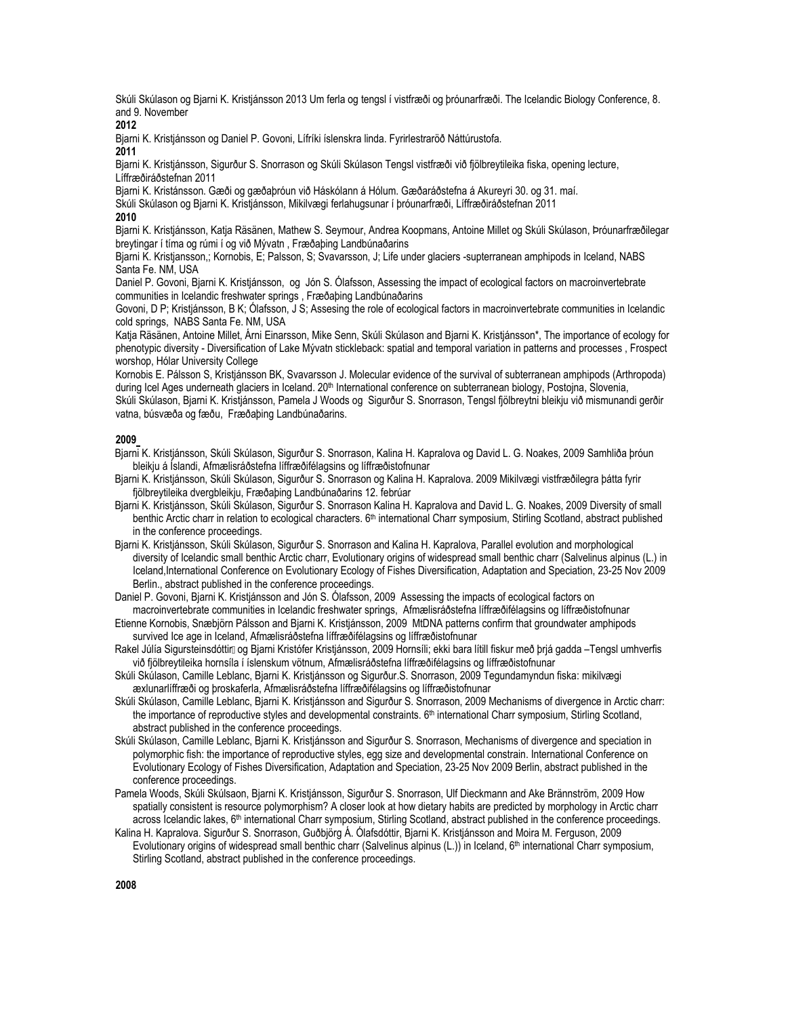Skúli Skúlason og Bjarni K. Kristjánsson 2013 Um ferla og tengsl í vistfræði og þróunarfræði. The Icelandic Biology Conference, 8. and 9. November

# **2012**

Bjarni K. Kristjánsson og Daniel P. Govoni, Lífríki íslenskra linda. Fyrirlestraröð Náttúrustofa.

#### **2011**

Bjarni K. Kristjánsson, Sigurður S. Snorrason og Skúli Skúlason Tengsl vistfræði við fjölbreytileika fiska, opening lecture, Líffræðiráðstefnan 2011

Bjarni K. Kristánsson. Gæði og gæðaþróun við Háskólann á Hólum. Gæðaráðstefna á Akureyri 30. og 31. maí.

Skúli Skúlason og Bjarni K. Kristjánsson, Mikilvægi ferlahugsunar í þróunarfræði, Líffræðiráðstefnan 2011

# **2010**

Bjarni K. Kristjánsson, Katja Räsänen, Mathew S. Seymour, Andrea Koopmans, Antoine Millet og Skúli Skúlason, Þróunarfræðilegar breytingar í tíma og rúmi í og við Mývatn , Fræðaþing Landbúnaðarins

Bjarni K. Kristjansson,; Kornobis, E; Palsson, S; Svavarsson, J; Life under glaciers -supterranean amphipods in Iceland, NABS Santa Fe. NM, USA

Daniel P. Govoni, Bjarni K. Kristjánsson, og Jón S. Ólafsson, Assessing the impact of ecological factors on macroinvertebrate communities in Icelandic freshwater springs , Fræðaþing Landbúnaðarins

Govoni, D P; Kristjánsson, B K; Ólafsson, J S; Assesing the role of ecological factors in macroinvertebrate communities in Icelandic cold springs, NABS Santa Fe. NM, USA

Katja Räsänen, Antoine Millet, Árni Einarsson, Mike Senn, Skúli Skúlason and Bjarni K. Kristjánsson\*, The importance of ecology for phenotypic diversity - Diversification of Lake Mývatn stickleback: spatial and temporal variation in patterns and processes , Frospect worshop, Hólar University College

Kornobis E. Pálsson S, Kristjánsson BK, Svavarsson J. Molecular evidence of the survival of subterranean amphipods (Arthropoda) during Icel Ages underneath glaciers in Iceland. 20<sup>th</sup> International conference on subterranean biology, Postojna, Slovenia,

Skúli Skúlason, Bjarni K. Kristjánsson, Pamela J Woods og Sigurður S. Snorrason, Tengsl fjölbreytni bleikju við mismunandi gerðir vatna, búsvæða og fæðu, Fræðaþing Landbúnaðarins.

### **2009**

Bjarni K. Kristjánsson, Skúli Skúlason, Sigurður S. Snorrason, Kalina H. Kapralova og David L. G. Noakes, 2009 Samhliða þróun bleikju á Íslandi, Afmælisráðstefna líffræðifélagsins og líffræðistofnunar

- Bjarni K. Kristjánsson, Skúli Skúlason, Sigurður S. Snorrason og Kalina H. Kapralova. 2009 Mikilvægi vistfræðilegra þátta fyrir fjölbreytileika dvergbleikju, Fræðaþing Landbúnaðarins 12. febrúar
- Bjarni K. Kristjánsson, Skúli Skúlason, Sigurður S. Snorrason Kalina H. Kapralova and David L. G. Noakes, 2009 Diversity of small benthic Arctic charr in relation to ecological characters. 6<sup>th</sup> international Charr symposium, Stirling Scotland, abstract published in the conference proceedings.
- Bjarni K. Kristjánsson, Skúli Skúlason, Sigurður S. Snorrason and Kalina H. Kapralova, Parallel evolution and morphological diversity of Icelandic small benthic Arctic charr, Evolutionary origins of widespread small benthic charr (Salvelinus alpinus (L.) in Iceland,International Conference on Evolutionary Ecology of Fishes Diversification, Adaptation and Speciation, 23-25 Nov 2009 Berlin., abstract published in the conference proceedings.

Daniel P. Govoni, Bjarni K. Kristjánsson and Jón S. Ólafsson, 2009 Assessing the impacts of ecological factors on macroinvertebrate communities in Icelandic freshwater springs, Afmælisráðstefna líffræðifélagsins og líffræðistofnunar

Etienne Kornobis, Snæbjörn Pálsson and Bjarni K. Kristjánsson, 2009 MtDNA patterns confirm that groundwater amphipods survived Ice age in Iceland, Afmælisráðstefna líffræðifélagsins og líffræðistofnunar

Rakel Júlía Sigursteinsdóttir og Bjarni Kristófer Kristjánsson, 2009 Hornsíli; ekki bara lítill fiskur með þrjá gadda –Tengsl umhverfis við fjölbreytileika hornsíla í íslenskum vötnum, Afmælisráðstefna líffræðifélagsins og líffræðistofnunar

Skúli Skúlason, Camille Leblanc, Bjarni K. Kristjánsson og Sigurður.S. Snorrason, 2009 Tegundamyndun fiska: mikilvægi æxlunarlíffræði og þroskaferla, Afmælisráðstefna líffræðifélagsins og líffræðistofnunar

Skúli Skúlason, Camille Leblanc, Bjarni K. Kristjánsson and Sigurður S. Snorrason, 2009 Mechanisms of divergence in Arctic charr: the importance of reproductive styles and developmental constraints. 6<sup>th</sup> international Charr symposium, Stirling Scotland, abstract published in the conference proceedings.

Skúli Skúlason, Camille Leblanc, Bjarni K. Kristjánsson and Sigurður S. Snorrason, Mechanisms of divergence and speciation in polymorphic fish: the importance of reproductive styles, egg size and developmental constrain. International Conference on Evolutionary Ecology of Fishes Diversification, Adaptation and Speciation, 23-25 Nov 2009 Berlin, abstract published in the conference proceedings.

Pamela Woods, Skúli Skúlsaon, Bjarni K. Kristjánsson, Sigurður S. Snorrason, Ulf Dieckmann and Ake Brännström, 2009 How spatially consistent is resource polymorphism? A closer look at how dietary habits are predicted by morphology in Arctic charr across Icelandic lakes, 6<sup>th</sup> international Charr symposium, Stirling Scotland, abstract published in the conference proceedings.

Kalina H. Kapralova. Sigurður S. Snorrason, Guðbjörg Á. Ólafsdóttir, Bjarni K. Kristjánsson and Moira M. Ferguson, 2009 Evolutionary origins of widespread small benthic charr (Salvelinus alpinus (L.)) in Iceland, 6<sup>th</sup> international Charr symposium, Stirling Scotland, abstract published in the conference proceedings.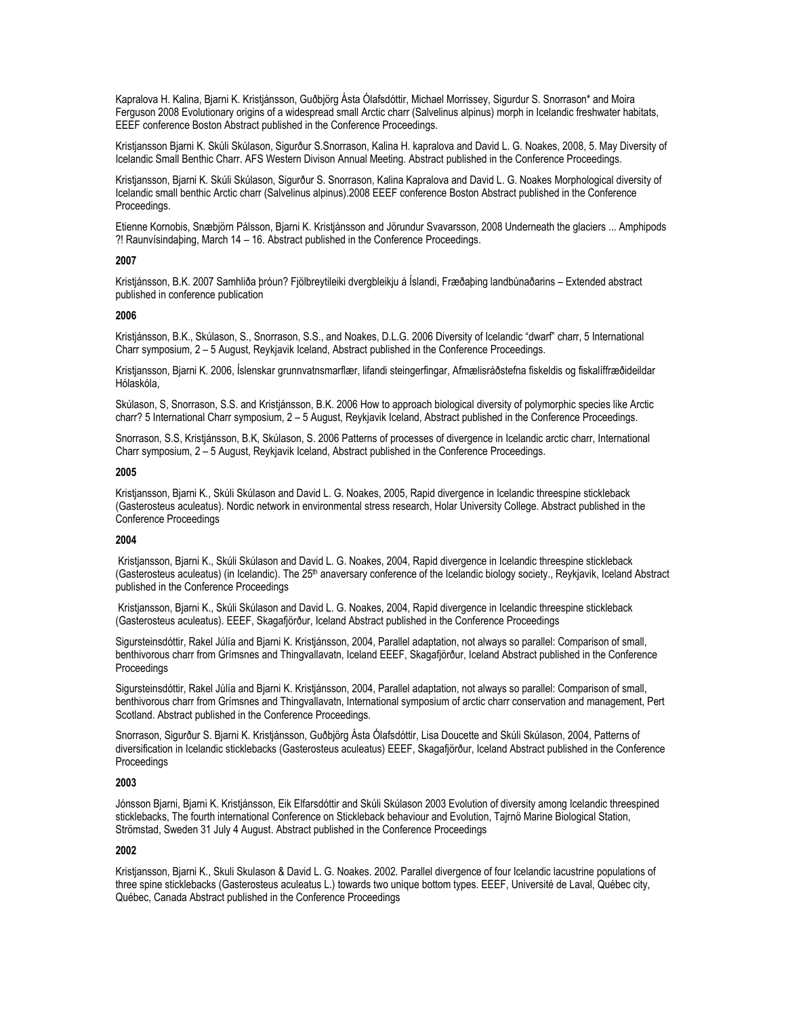Kapralova H. Kalina, Bjarni K. Kristjánsson, Guðbjörg Ásta Ólafsdóttir, Michael Morrissey, Sigurdur S. Snorrason\* and Moira Ferguson 2008 Evolutionary origins of a widespread small Arctic charr (Salvelinus alpinus) morph in Icelandic freshwater habitats, EEEF conference Boston Abstract published in the Conference Proceedings.

Kristiansson Biarni K. Skúli Skúlason, Sigurður S.Snorrason, Kalina H. kapralova and David L. G. Noakes, 2008, 5. May Diversity of Icelandic Small Benthic Charr. AFS Western Divison Annual Meeting. Abstract published in the Conference Proceedings.

Kristjansson, Bjarni K. Skúli Skúlason, Sigurður S. Snorrason, Kalina Kapralova and David L. G. Noakes Morphological diversity of Icelandic small benthic Arctic charr (Salvelinus alpinus).2008 EEEF conference Boston Abstract published in the Conference Proceedings.

Etienne Kornobis, Snæbjörn Pálsson, Bjarni K. Kristjánsson and Jörundur Svavarsson, 2008 Underneath the glaciers ... Amphipods ?! Raunvísindaþing, March 14 – 16. Abstract published in the Conference Proceedings.

### **2007**

Kristjánsson, B.K. 2007 Samhliða þróun? Fjölbreytileiki dvergbleikju á Íslandi, Fræðaþing landbúnaðarins – Extended abstract published in conference publication

### **2006**

Kristjánsson, B.K., Skúlason, S., Snorrason, S.S., and Noakes, D.L.G. 2006 Diversity of Icelandic "dwarf" charr, 5 International Charr symposium, 2 – 5 August, Reykjavik Iceland, Abstract published in the Conference Proceedings.

Kristjansson, Bjarni K. 2006, Íslenskar grunnvatnsmarflær, lifandi steingerfingar, Afmælisráðstefna fiskeldis og fiskalíffræðideildar Hólaskóla,

Skúlason, S, Snorrason, S.S. and Kristjánsson, B.K. 2006 How to approach biological diversity of polymorphic species like Arctic charr? 5 International Charr symposium, 2 – 5 August, Reykjavik Iceland, Abstract published in the Conference Proceedings.

Snorrason, S.S, Kristjánsson, B.K, Skúlason, S. 2006 Patterns of processes of divergence in Icelandic arctic charr, International Charr symposium, 2 – 5 August, Reykjavik Iceland, Abstract published in the Conference Proceedings.

#### **2005**

Kristjansson, Bjarni K., Skúli Skúlason and David L. G. Noakes, 2005, Rapid divergence in Icelandic threespine stickleback (Gasterosteus aculeatus). Nordic network in environmental stress research, Holar University College. Abstract published in the Conference Proceedings

#### **2004**

Kristjansson, Bjarni K., Skúli Skúlason and David L. G. Noakes, 2004, Rapid divergence in Icelandic threespine stickleback (Gasterosteus aculeatus) (in Icelandic). The 25<sup>th</sup> anaversary conference of the Icelandic biology society., Reykjavik, Iceland Abstract published in the Conference Proceedings

Kristjansson, Bjarni K., Skúli Skúlason and David L. G. Noakes, 2004, Rapid divergence in Icelandic threespine stickleback (Gasterosteus aculeatus). EEEF, Skagafjörður, Iceland Abstract published in the Conference Proceedings

Sigursteinsdóttir, Rakel Júlía and Bjarni K. Kristjánsson, 2004, Parallel adaptation, not always so parallel: Comparison of small, benthivorous charr from Grímsnes and Thingvallavatn, Iceland EEEF, Skagafjörður, Iceland Abstract published in the Conference **Proceedings** 

Sigursteinsdóttir, Rakel Júlía and Biarni K. Kristiánsson, 2004, Parallel adaptation, not always so parallel: Comparison of small, benthivorous charr from Grímsnes and Thingvallavatn, International symposium of arctic charr conservation and management, Pert Scotland. Abstract published in the Conference Proceedings.

Snorrason, Sigurður S. Bjarni K. Kristjánsson, Guðbjörg Ásta Ólafsdóttir, Lisa Doucette and Skúli Skúlason, 2004, Patterns of diversification in Icelandic sticklebacks (Gasterosteus aculeatus) EEEF, Skagafjörður, Iceland Abstract published in the Conference **Proceedings** 

# **2003**

Jónsson Bjarni, Bjarni K. Kristjánsson, Eik Elfarsdóttir and Skúli Skúlason 2003 Evolution of diversity among Icelandic threespined sticklebacks, The fourth international Conference on Stickleback behaviour and Evolution, Tajrnö Marine Biological Station, Strömstad, Sweden 31 July 4 August. Abstract published in the Conference Proceedings

# **2002**

Kristiansson, Biarni K., Skuli Skulason & David L. G. Noakes, 2002. Parallel divergence of four Icelandic lacustrine populations of three spine sticklebacks (Gasterosteus aculeatus L.) towards two unique bottom types. EEEF, Université de Laval, Québec city, Québec, Canada Abstract published in the Conference Proceedings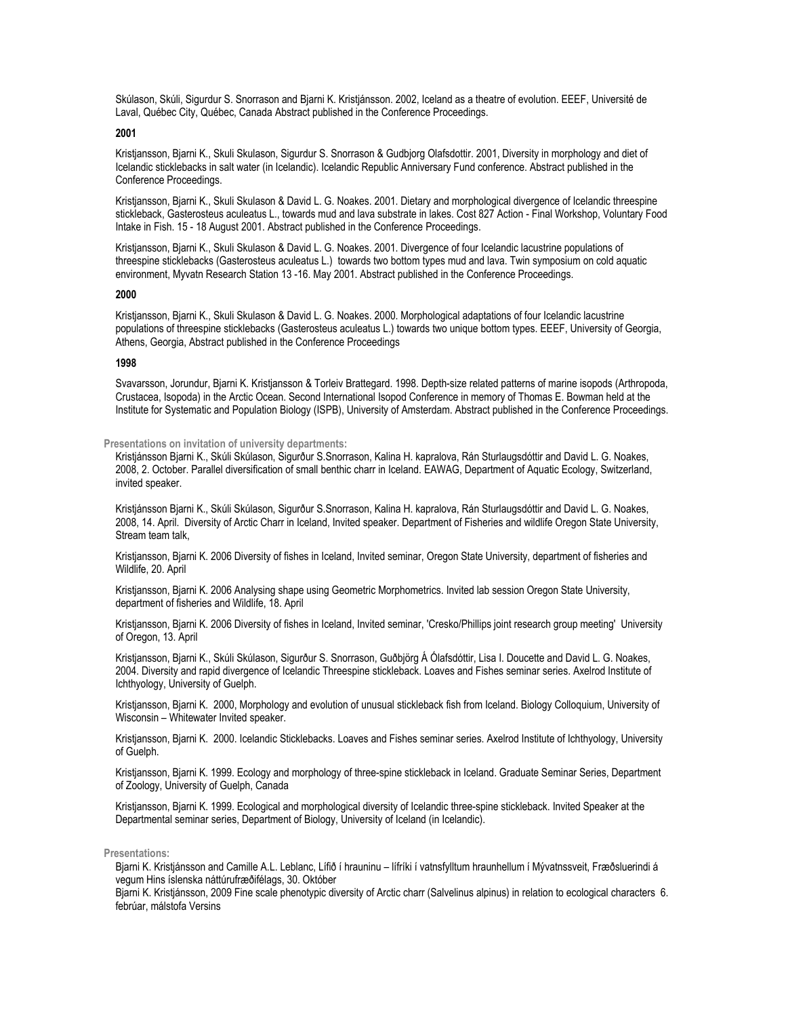Skúlason, Skúli, Sigurdur S. Snorrason and Bjarni K. Kristjánsson. 2002, Iceland as a theatre of evolution. EEEF, Université de Laval, Québec City, Québec, Canada Abstract published in the Conference Proceedings.

#### **2001**

Kristjansson, Bjarni K., Skuli Skulason, Sigurdur S. Snorrason & Gudbjorg Olafsdottir. 2001, Diversity in morphology and diet of Icelandic sticklebacks in salt water (in Icelandic). Icelandic Republic Anniversary Fund conference. Abstract published in the Conference Proceedings.

Kristjansson, Bjarni K., Skuli Skulason & David L. G. Noakes. 2001. Dietary and morphological divergence of Icelandic threespine stickleback, Gasterosteus aculeatus L., towards mud and lava substrate in lakes. Cost 827 Action - Final Workshop, Voluntary Food Intake in Fish. 15 - 18 August 2001. Abstract published in the Conference Proceedings.

Kristjansson, Bjarni K., Skuli Skulason & David L. G. Noakes. 2001. Divergence of four Icelandic lacustrine populations of threespine sticklebacks (Gasterosteus aculeatus L.) towards two bottom types mud and lava. Twin symposium on cold aquatic environment, Myvatn Research Station 13 -16. May 2001. Abstract published in the Conference Proceedings.

#### **2000**

Kristjansson, Bjarni K., Skuli Skulason & David L. G. Noakes. 2000. Morphological adaptations of four Icelandic lacustrine populations of threespine sticklebacks (Gasterosteus aculeatus L.) towards two unique bottom types. EEEF, University of Georgia, Athens, Georgia, Abstract published in the Conference Proceedings

### **1998**

Svavarsson, Jorundur, Bjarni K. Kristjansson & Torleiv Brattegard. 1998. Depth-size related patterns of marine isopods (Arthropoda, Crustacea, Isopoda) in the Arctic Ocean. Second International Isopod Conference in memory of Thomas E. Bowman held at the Institute for Systematic and Population Biology (ISPB), University of Amsterdam. Abstract published in the Conference Proceedings.

#### **Presentations on invitation of university departments:**

Kristjánsson Bjarni K., Skúli Skúlason, Sigurður S.Snorrason, Kalina H. kapralova, Rán Sturlaugsdóttir and David L. G. Noakes, 2008, 2. October. Parallel diversification of small benthic charr in Iceland. EAWAG, Department of Aquatic Ecology, Switzerland, invited speaker.

Kristjánsson Bjarni K., Skúli Skúlason, Sigurður S.Snorrason, Kalina H. kapralova, Rán Sturlaugsdóttir and David L. G. Noakes, 2008, 14. April. Diversity of Arctic Charr in Iceland, Invited speaker. Department of Fisheries and wildlife Oregon State University, Stream team talk,

Kristjansson, Bjarni K. 2006 Diversity of fishes in Iceland, Invited seminar, Oregon State University, department of fisheries and Wildlife, 20. April

Kristjansson, Bjarni K. 2006 Analysing shape using Geometric Morphometrics. Invited lab session Oregon State University, department of fisheries and Wildlife, 18. April

Kristiansson, Biarni K. 2006 Diversity of fishes in Iceland, Invited seminar, 'Cresko/Phillips joint research group meeting' University of Oregon, 13. April

Kristjansson, Bjarni K., Skúli Skúlason, Sigurður S. Snorrason, Guðbjörg Á Ólafsdóttir, Lisa I. Doucette and David L. G. Noakes, 2004. Diversity and rapid divergence of Icelandic Threespine stickleback. Loaves and Fishes seminar series. Axelrod Institute of Ichthyology, University of Guelph.

Kristjansson, Bjarni K. 2000, Morphology and evolution of unusual stickleback fish from Iceland. Biology Colloquium, University of Wisconsin – Whitewater Invited speaker.

Kristjansson, Bjarni K. 2000. Icelandic Sticklebacks. Loaves and Fishes seminar series. Axelrod Institute of Ichthyology, University of Guelph.

Kristjansson, Bjarni K. 1999. Ecology and morphology of three-spine stickleback in Iceland. Graduate Seminar Series, Department of Zoology, University of Guelph, Canada

Kristjansson, Bjarni K. 1999. Ecological and morphological diversity of Icelandic three-spine stickleback. Invited Speaker at the Departmental seminar series, Department of Biology, University of Iceland (in Icelandic).

### **Presentations:**

Bjarni K. Kristjánsson and Camille A.L. Leblanc, Lífið í hrauninu – lífríki í vatnsfylltum hraunhellum í Mývatnssveit, Fræðsluerindi á vegum Hins íslenska náttúrufræðifélags, 30. Október

Bjarni K. Kristjánsson, 2009 Fine scale phenotypic diversity of Arctic charr (Salvelinus alpinus) in relation to ecological characters 6. febrúar, málstofa Versins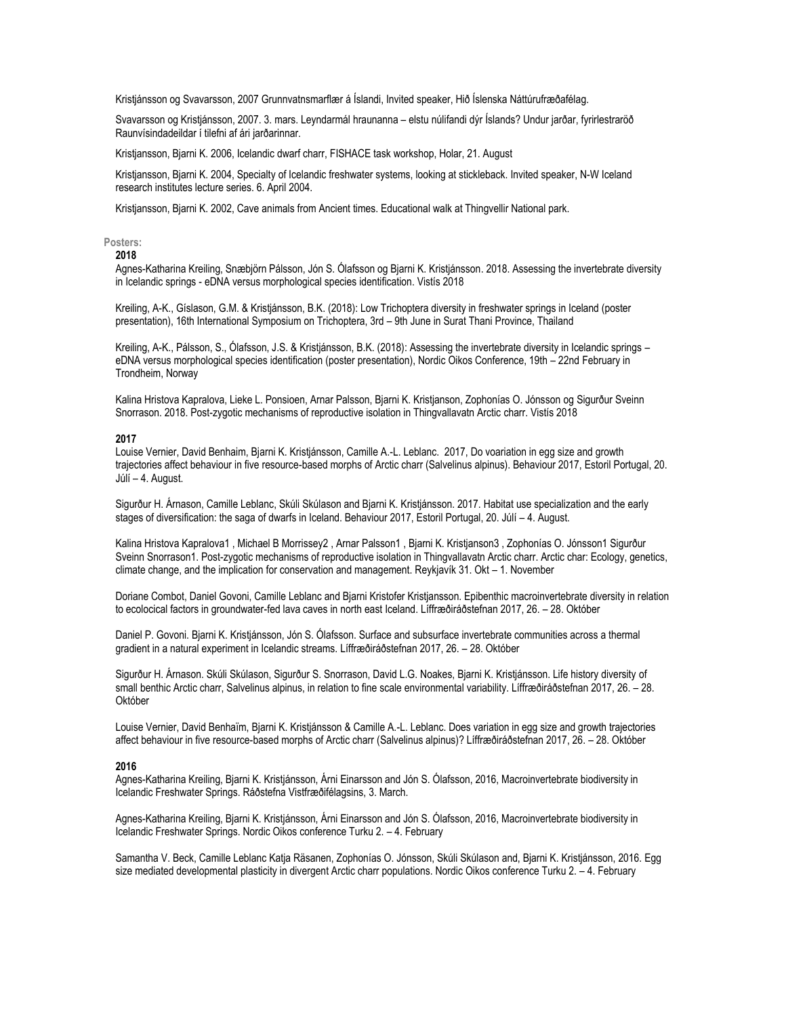Kristjánsson og Svavarsson, 2007 Grunnvatnsmarflær á Íslandi, Invited speaker, Hið Íslenska Náttúrufræðafélag.

Svavarsson og Kristjánsson, 2007. 3. mars. Leyndarmál hraunanna – elstu núlifandi dýr Íslands? Undur jarðar, fyrirlestraröð Raunvísindadeildar í tilefni af ári jarðarinnar.

Kristjansson, Bjarni K. 2006, Icelandic dwarf charr, FISHACE task workshop, Holar, 21. August

Kristjansson, Bjarni K. 2004, Specialty of Icelandic freshwater systems, looking at stickleback. Invited speaker, N-W Iceland research institutes lecture series. 6. April 2004.

Kristjansson, Bjarni K. 2002, Cave animals from Ancient times. Educational walk at Thingvellir National park.

### **Posters:**

# **2018**

Agnes-Katharina Kreiling, Snæbjörn Pálsson, Jón S. Ólafsson og Bjarni K. Kristjánsson. 2018. Assessing the invertebrate diversity in Icelandic springs - eDNA versus morphological species identification. Vistís 2018

Kreiling, A-K., Gíslason, G.M. & Kristjánsson, B.K. (2018): Low Trichoptera diversity in freshwater springs in Iceland (poster presentation), 16th International Symposium on Trichoptera, 3rd – 9th June in Surat Thani Province, Thailand

Kreiling, A-K., Pálsson, S., Ólafsson, J.S. & Kristjánsson, B.K. (2018): Assessing the invertebrate diversity in Icelandic springs – eDNA versus morphological species identification (poster presentation), Nordic Oikos Conference, 19th – 22nd February in Trondheim, Norway

Kalina Hristova Kapralova, Lieke L. Ponsioen, Arnar Palsson, Bjarni K. Kristjanson, Zophonías O. Jónsson og Sigurður Sveinn Snorrason. 2018. Post-zygotic mechanisms of reproductive isolation in Thingvallavatn Arctic charr. Vistís 2018

#### **2017**

Louise Vernier, David Benhaim, Bjarni K. Kristjánsson, Camille A.-L. Leblanc. 2017, Do voariation in egg size and growth trajectories affect behaviour in five resource-based morphs of Arctic charr (Salvelinus alpinus). Behaviour 2017, Estoril Portugal, 20. Júlí – 4. August.

Sigurður H. Árnason, Camille Leblanc, Skúli Skúlason and Bjarni K. Kristjánsson. 2017. Habitat use specialization and the early stages of diversification: the saga of dwarfs in Iceland. Behaviour 2017, Estoril Portugal, 20. Júlí – 4. August.

Kalina Hristova Kapralova1 , Michael B Morrissey2 , Arnar Palsson1 , Bjarni K. Kristjanson3 , Zophonías O. Jónsson1 Sigurður Sveinn Snorrason1. Post-zygotic mechanisms of reproductive isolation in Thingvallavatn Arctic charr. Arctic char: Ecology, genetics, climate change, and the implication for conservation and management. Reykjavík 31. Okt – 1. November

Doriane Combot, Daniel Govoni, Camille Leblanc and Bjarni Kristofer Kristjansson. Epibenthic macroinvertebrate diversity in relation to ecolocical factors in groundwater-fed lava caves in north east Iceland. Líffræðiráðstefnan 2017, 26. – 28. Október

Daniel P. Govoni. Bjarni K. Kristjánsson, Jón S. Ólafsson. Surface and subsurface invertebrate communities across a thermal gradient in a natural experiment in Icelandic streams. Líffræðiráðstefnan 2017, 26. – 28. Október

Sigurður H. Árnason. Skúli Skúlason, Sigurður S. Snorrason, David L.G. Noakes, Bjarni K. Kristjánsson. Life history diversity of small benthic Arctic charr, Salvelinus alpinus, in relation to fine scale environmental variability. Líffræðiráðstefnan 2017, 26. – 28. Október

Louise Vernier, David Benhaïm, Bjarni K. Kristjánsson & Camille A.-L. Leblanc. Does variation in egg size and growth trajectories affect behaviour in five resource-based morphs of Arctic charr (Salvelinus alpinus)? Líffræðiráðstefnan 2017, 26. – 28. Október

#### **2016**

Agnes-Katharina Kreiling, Bjarni K. Kristjánsson, Árni Einarsson and Jón S. Ólafsson, 2016, Macroinvertebrate biodiversity in Icelandic Freshwater Springs. Ráðstefna Vistfræðifélagsins, 3. March.

Agnes-Katharina Kreiling, Bjarni K. Kristjánsson, Árni Einarsson and Jón S. Ólafsson, 2016, Macroinvertebrate biodiversity in Icelandic Freshwater Springs. Nordic Oikos conference Turku 2. – 4. February

Samantha V. Beck, Camille Leblanc Katia Räsanen, Zophonías O. Jónsson, Skúli Skúlason and, Biarni K. Kristiánsson, 2016. Egg size mediated developmental plasticity in divergent Arctic charr populations. Nordic Oikos conference Turku 2. – 4. February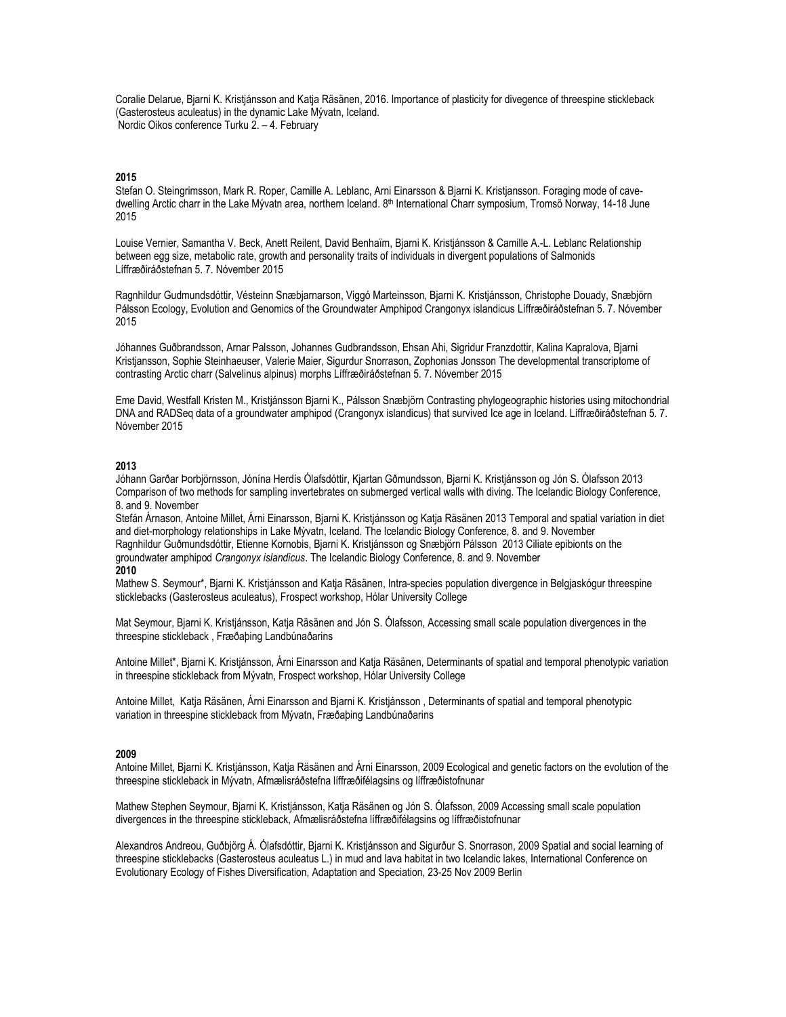Coralie Delarue, Bjarni K. Kristjánsson and Katja Räsänen, 2016. Importance of plasticity for divegence of threespine stickleback (Gasterosteus aculeatus) in the dynamic Lake Mývatn, Iceland. Nordic Oikos conference Turku 2. – 4. February

## **2015**

Stefan O. Steingrimsson, Mark R. Roper, Camille A. Leblanc, Arni Einarsson & Bjarni K. Kristjansson. Foraging mode of cavedwelling Arctic charr in the Lake Mývatn area, northern Iceland. 8<sup>th</sup> International Charr symposium, Tromsö Norway, 14-18 June 2015

Louise Vernier, Samantha V. Beck, Anett Reilent, David Benhaïm, Bjarni K. Kristjánsson & Camille A.-L. Leblanc Relationship between egg size, metabolic rate, growth and personality traits of individuals in divergent populations of Salmonids Líffræðiráðstefnan 5. 7. Nóvember 2015

Ragnhildur Gudmundsdóttir, Vésteinn Snæbjarnarson, Viggó Marteinsson, Bjarni K. Kristjánsson, Christophe Douady, Snæbjörn Pálsson Ecology, Evolution and Genomics of the Groundwater Amphipod Crangonyx islandicus Líffræðiráðstefnan 5. 7. Nóvember 2015

Jóhannes Guðbrandsson, Arnar Palsson, Johannes Gudbrandsson, Ehsan Ahi, Sigridur Franzdottir, Kalina Kapralova, Bjarni Kristjansson, Sophie Steinhaeuser, Valerie Maier, Sigurdur Snorrason, Zophonias Jonsson The developmental transcriptome of contrasting Arctic charr (Salvelinus alpinus) morphs Líffræðiráðstefnan 5. 7. Nóvember 2015

Eme David, Westfall Kristen M., Kristjánsson Bjarni K., Pálsson Snæbjörn Contrasting phylogeographic histories using mitochondrial DNA and RADSeq data of a groundwater amphipod (Crangonyx islandicus) that survived Ice age in Iceland. Líffræðiráðstefnan 5. 7. Nóvember 2015

# **2013**

Jóhann Garðar Þorbjörnsson, Jónína Herdís Ólafsdóttir, Kjartan Gðmundsson, Bjarni K. Kristjánsson og Jón S. Ólafsson 2013 Comparison of two methods for sampling invertebrates on submerged vertical walls with diving. The Icelandic Biology Conference, 8. and 9. November

Stefán Árnason, Antoine Millet, Árni Einarsson, Bjarni K. Kristjánsson og Katja Räsänen 2013 Temporal and spatial variation in diet and diet-morphology relationships in Lake Mývatn, Iceland. The Icelandic Biology Conference, 8. and 9. November Ragnhildur Guðmundsdóttir, Etienne Kornobis, Bjarni K. Kristjánsson og Snæbjörn Pálsson 2013 Ciliate epibionts on the groundwater amphipod *Crangonyx islandicus*. The Icelandic Biology Conference, 8. and 9. November **2010**

Mathew S. Seymour\*, Bjarni K. Kristjánsson and Katja Räsänen, Intra-species population divergence in Belgjaskógur threespine sticklebacks (Gasterosteus aculeatus), Frospect workshop, Hólar University College

Mat Seymour, Bjarni K. Kristjánsson, Katja Räsänen and Jón S. Ólafsson, Accessing small scale population divergences in the threespine stickleback , Fræðaþing Landbúnaðarins

Antoine Millet\*, Bjarni K. Kristjánsson, Árni Einarsson and Katja Räsänen, Determinants of spatial and temporal phenotypic variation in threespine stickleback from Mývatn, Frospect workshop, Hólar University College

Antoine Millet, Katja Räsänen, Árni Einarsson and Bjarni K. Kristjánsson , Determinants of spatial and temporal phenotypic variation in threespine stickleback from Mývatn, Fræðaþing Landbúnaðarins

# **2009**

Antoine Millet, Bjarni K. Kristjánsson, Katja Räsänen and Árni Einarsson, 2009 Ecological and genetic factors on the evolution of the threespine stickleback in Mývatn, Afmælisráðstefna líffræðifélagsins og líffræðistofnunar

Mathew Stephen Seymour, Bjarni K. Kristjánsson, Katja Räsänen og Jón S. Ólafsson, 2009 Accessing small scale population divergences in the threespine stickleback, Afmælisráðstefna líffræðifélagsins og líffræðistofnunar

Alexandros Andreou, Guðbjörg Á. Ólafsdóttir, Bjarni K. Kristjánsson and Sigurður S. Snorrason, 2009 Spatial and social learning of threespine sticklebacks (Gasterosteus aculeatus L.) in mud and lava habitat in two Icelandic lakes, International Conference on Evolutionary Ecology of Fishes Diversification, Adaptation and Speciation, 23-25 Nov 2009 Berlin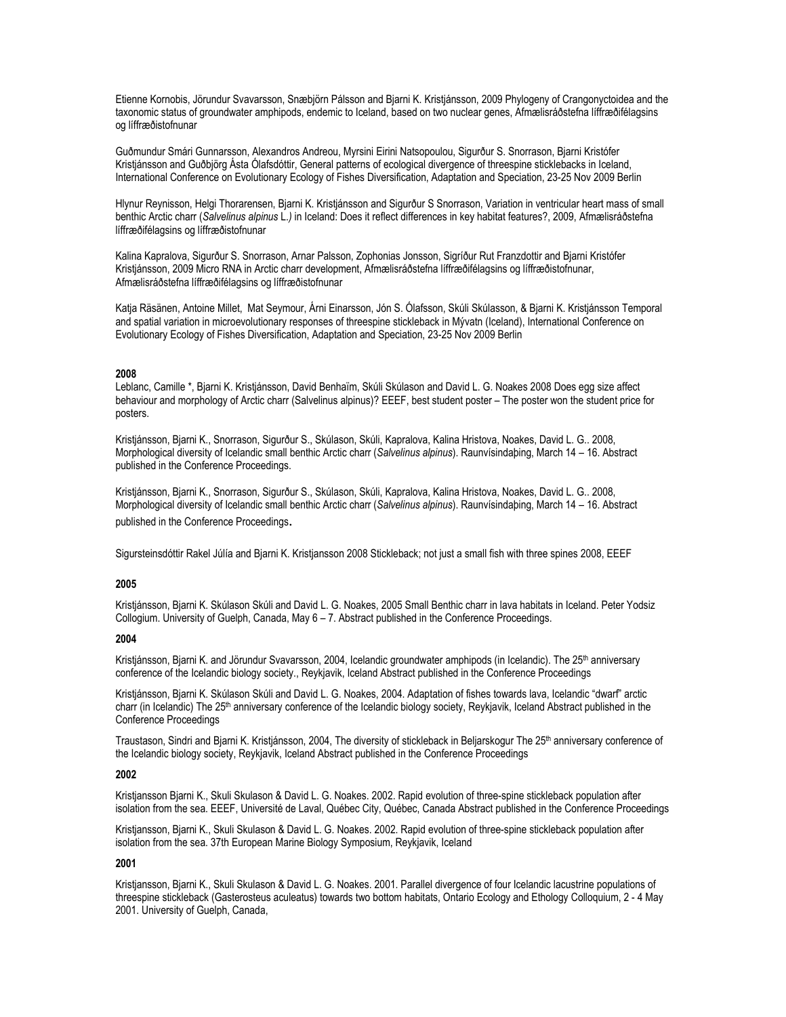Etienne Kornobis, Jörundur Svavarsson, Snæbjörn Pálsson and Bjarni K. Kristjánsson, 2009 Phylogeny of Crangonyctoidea and the taxonomic status of groundwater amphipods, endemic to Iceland, based on two nuclear genes, Afmælisráðstefna líffræðifélagsins og líffræðistofnunar

Guðmundur Smári Gunnarsson, Alexandros Andreou, Myrsini Eirini Natsopoulou, Sigurður S. Snorrason, Bjarni Kristófer Kristjánsson and Guðbjörg Ásta Ólafsdóttir, General patterns of ecological divergence of threespine sticklebacks in Iceland, International Conference on Evolutionary Ecology of Fishes Diversification, Adaptation and Speciation, 23-25 Nov 2009 Berlin

Hlynur Reynisson, Helgi Thorarensen, Bjarni K. Kristjánsson and Sigurður S Snorrason, Variation in ventricular heart mass of small benthic Arctic charr (*Salvelinus alpinus* L.*)* in Iceland: Does it reflect differences in key habitat features?, 2009, Afmælisráðstefna líffræðifélagsins og líffræðistofnunar

Kalina Kapralova, Sigurður S. Snorrason, Arnar Palsson, Zophonias Jonsson, Sigríður Rut Franzdottir and Bjarni Kristófer Kristjánsson, 2009 Micro RNA in Arctic charr development, Afmælisráðstefna líffræðifélagsins og líffræðistofnunar, Afmælisráðstefna líffræðifélagsins og líffræðistofnunar

Katja Räsänen, Antoine Millet, Mat Seymour, Árni Einarsson, Jón S. Ólafsson, Skúli Skúlasson, & Bjarni K. Kristjánsson Temporal and spatial variation in microevolutionary responses of threespine stickleback in Mývatn (Iceland), International Conference on Evolutionary Ecology of Fishes Diversification, Adaptation and Speciation, 23-25 Nov 2009 Berlin

# **2008**

Leblanc, Camille \*, Bjarni K. Kristjánsson, David Benhaïm, Skúli Skúlason and David L. G. Noakes 2008 Does egg size affect behaviour and morphology of Arctic charr (Salvelinus alpinus)? EEEF, best student poster – The poster won the student price for posters.

Kristjánsson, Bjarni K., Snorrason, Sigurður S., Skúlason, Skúli, Kapralova, Kalina Hristova, Noakes, David L. G.. 2008, Morphological diversity of Icelandic small benthic Arctic charr (*Salvelinus alpinus*). Raunvísindaþing, March 14 – 16. Abstract published in the Conference Proceedings.

Kristjánsson, Bjarni K., Snorrason, Sigurður S., Skúlason, Skúli, Kapralova, Kalina Hristova, Noakes, David L. G.. 2008, Morphological diversity of Icelandic small benthic Arctic charr (*Salvelinus alpinus*). Raunvísindaþing, March 14 – 16. Abstract published in the Conference Proceedings.

Sigursteinsdóttir Rakel Júlía and Bjarni K. Kristjansson 2008 Stickleback; not just a small fish with three spines 2008, EEEF

### **2005**

Kristjánsson, Bjarni K. Skúlason Skúli and David L. G. Noakes, 2005 Small Benthic charr in lava habitats in Iceland. Peter Yodsiz Collogium. University of Guelph, Canada, May 6 – 7. Abstract published in the Conference Proceedings.

#### **2004**

Kristjánsson, Bjarni K. and Jörundur Svavarsson, 2004, Icelandic groundwater amphipods (in Icelandic). The 25<sup>th</sup> anniversary conference of the Icelandic biology society., Reykjavik, Iceland Abstract published in the Conference Proceedings

Kristjánsson, Bjarni K. Skúlason Skúli and David L. G. Noakes, 2004. Adaptation of fishes towards lava, Icelandic "dwarf" arctic charr (in Icelandic) The 25<sup>th</sup> anniversary conference of the Icelandic biology society, Reykjavik, Iceland Abstract published in the Conference Proceedings

Traustason, Sindri and Bjarni K. Kristjánsson, 2004, The diversity of stickleback in Beljarskogur The 25<sup>th</sup> anniversary conference of the Icelandic biology society, Reykjavik, Iceland Abstract published in the Conference Proceedings

### **2002**

Kristjansson Bjarni K., Skuli Skulason & David L. G. Noakes. 2002. Rapid evolution of three-spine stickleback population after isolation from the sea. EEEF, Université de Laval, Québec City, Québec, Canada Abstract published in the Conference Proceedings

Kristjansson, Bjarni K., Skuli Skulason & David L. G. Noakes. 2002. Rapid evolution of three-spine stickleback population after isolation from the sea. 37th European Marine Biology Symposium, Reykjavik, Iceland

#### **2001**

Kristjansson, Bjarni K., Skuli Skulason & David L. G. Noakes. 2001. Parallel divergence of four Icelandic lacustrine populations of threespine stickleback (Gasterosteus aculeatus) towards two bottom habitats, Ontario Ecology and Ethology Colloquium, 2 - 4 May 2001. University of Guelph, Canada,